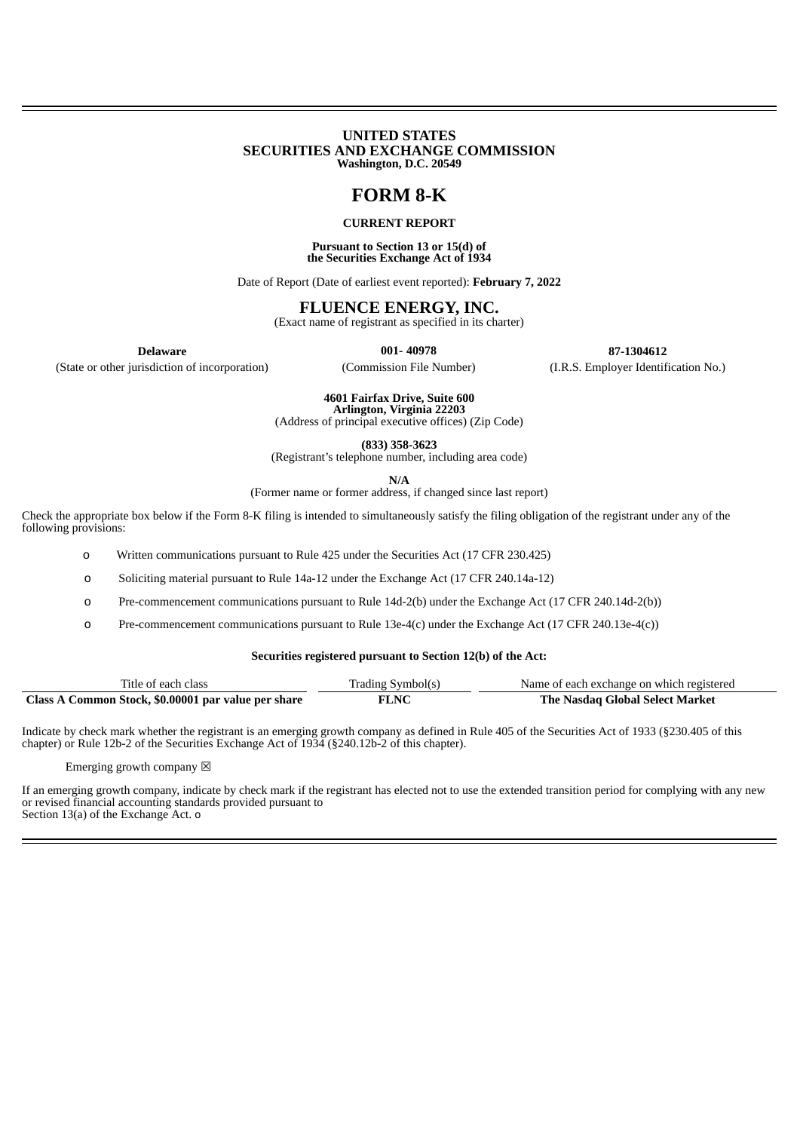#### **UNITED STATES SECURITIES AND EXCHANGE COMMISSION Washington, D.C. 20549**

# **FORM 8-K**

#### **CURRENT REPORT**

#### **Pursuant to Section 13 or 15(d) of the Securities Exchange Act of 1934**

Date of Report (Date of earliest event reported): **February 7, 2022**

## **FLUENCE ENERGY, INC.**

(Exact name of registrant as specified in its charter)

(State or other jurisdiction of incorporation) (Commission File Number) (I.R.S. Employer Identification No.)

**Delaware 001- 40978 87-1304612**

**4601 Fairfax Drive, Suite 600 Arlington, Virginia 22203**

(Address of principal executive offices) (Zip Code)

**(833) 358-3623**

(Registrant's telephone number, including area code)

**N/A**

(Former name or former address, if changed since last report)

Check the appropriate box below if the Form 8-K filing is intended to simultaneously satisfy the filing obligation of the registrant under any of the following provisions:

o Written communications pursuant to Rule 425 under the Securities Act (17 CFR 230.425)

o Soliciting material pursuant to Rule 14a-12 under the Exchange Act (17 CFR 240.14a-12)

o Pre-commencement communications pursuant to Rule 14d-2(b) under the Exchange Act (17 CFR 240.14d-2(b))

o Pre-commencement communications pursuant to Rule 13e-4(c) under the Exchange Act (17 CFR 240.13e-4(c))

#### **Securities registered pursuant to Section 12(b) of the Act:**

| Title of each class                                 | Trading Symbol(s) | Name of each exchange on which registered |
|-----------------------------------------------------|-------------------|-------------------------------------------|
| Class A Common Stock, \$0.00001 par value per share | <b>FLNC</b>       | The Nasdag Global Select Market           |

Indicate by check mark whether the registrant is an emerging growth company as defined in Rule 405 of the Securities Act of 1933 (§230.405 of this chapter) or Rule 12b-2 of the Securities Exchange Act of 1934 (§240.12b-2 of this chapter).

Emerging growth company  $\boxtimes$ 

If an emerging growth company, indicate by check mark if the registrant has elected not to use the extended transition period for complying with any new or revised financial accounting standards provided pursuant to

Section 13(a) of the Exchange Act. o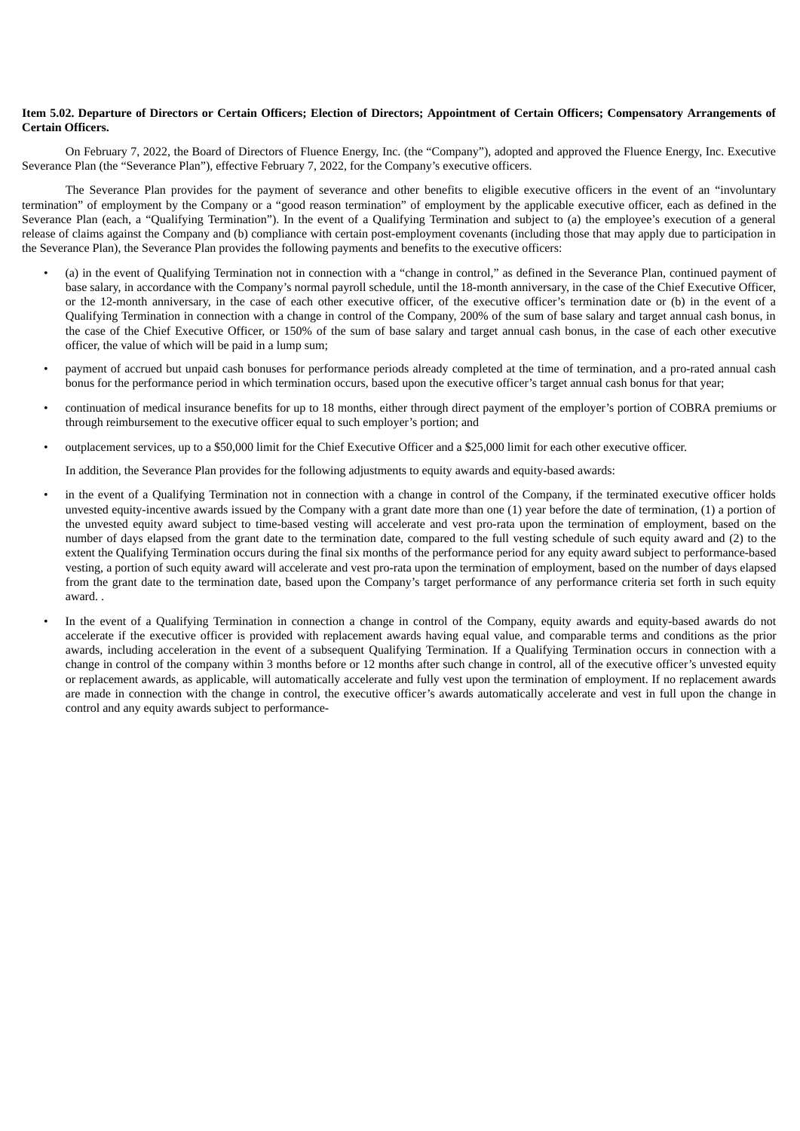#### Item 5.02. Departure of Directors or Certain Officers: Election of Directors: Appointment of Certain Officers: Compensatory Arrangements of **Certain Officers.**

On February 7, 2022, the Board of Directors of Fluence Energy, Inc. (the "Company"), adopted and approved the Fluence Energy, Inc. Executive Severance Plan (the "Severance Plan"), effective February 7, 2022, for the Company's executive officers.

The Severance Plan provides for the payment of severance and other benefits to eligible executive officers in the event of an "involuntary termination" of employment by the Company or a "good reason termination" of employment by the applicable executive officer, each as defined in the Severance Plan (each, a "Qualifying Termination"). In the event of a Qualifying Termination and subject to (a) the employee's execution of a general release of claims against the Company and (b) compliance with certain post-employment covenants (including those that may apply due to participation in the Severance Plan), the Severance Plan provides the following payments and benefits to the executive officers:

- (a) in the event of Qualifying Termination not in connection with a "change in control," as defined in the Severance Plan, continued payment of base salary, in accordance with the Company's normal payroll schedule, until the 18-month anniversary, in the case of the Chief Executive Officer, or the 12-month anniversary, in the case of each other executive officer, of the executive officer's termination date or (b) in the event of a Qualifying Termination in connection with a change in control of the Company, 200% of the sum of base salary and target annual cash bonus, in the case of the Chief Executive Officer, or 150% of the sum of base salary and target annual cash bonus, in the case of each other executive officer, the value of which will be paid in a lump sum;
- payment of accrued but unpaid cash bonuses for performance periods already completed at the time of termination, and a pro-rated annual cash bonus for the performance period in which termination occurs, based upon the executive officer's target annual cash bonus for that year;
- continuation of medical insurance benefits for up to 18 months, either through direct payment of the employer's portion of COBRA premiums or through reimbursement to the executive officer equal to such employer's portion; and
- outplacement services, up to a \$50,000 limit for the Chief Executive Officer and a \$25,000 limit for each other executive officer.

In addition, the Severance Plan provides for the following adjustments to equity awards and equity-based awards:

- in the event of a Qualifying Termination not in connection with a change in control of the Company, if the terminated executive officer holds unvested equity-incentive awards issued by the Company with a grant date more than one (1) year before the date of termination, (1) a portion of the unvested equity award subject to time-based vesting will accelerate and vest pro-rata upon the termination of employment, based on the number of days elapsed from the grant date to the termination date, compared to the full vesting schedule of such equity award and (2) to the extent the Qualifying Termination occurs during the final six months of the performance period for any equity award subject to performance-based vesting, a portion of such equity award will accelerate and vest pro-rata upon the termination of employment, based on the number of days elapsed from the grant date to the termination date, based upon the Company's target performance of any performance criteria set forth in such equity award. .
- In the event of a Qualifying Termination in connection a change in control of the Company, equity awards and equity-based awards do not accelerate if the executive officer is provided with replacement awards having equal value, and comparable terms and conditions as the prior awards, including acceleration in the event of a subsequent Qualifying Termination. If a Qualifying Termination occurs in connection with a change in control of the company within 3 months before or 12 months after such change in control, all of the executive officer's unvested equity or replacement awards, as applicable, will automatically accelerate and fully vest upon the termination of employment. If no replacement awards are made in connection with the change in control, the executive officer's awards automatically accelerate and vest in full upon the change in control and any equity awards subject to performance-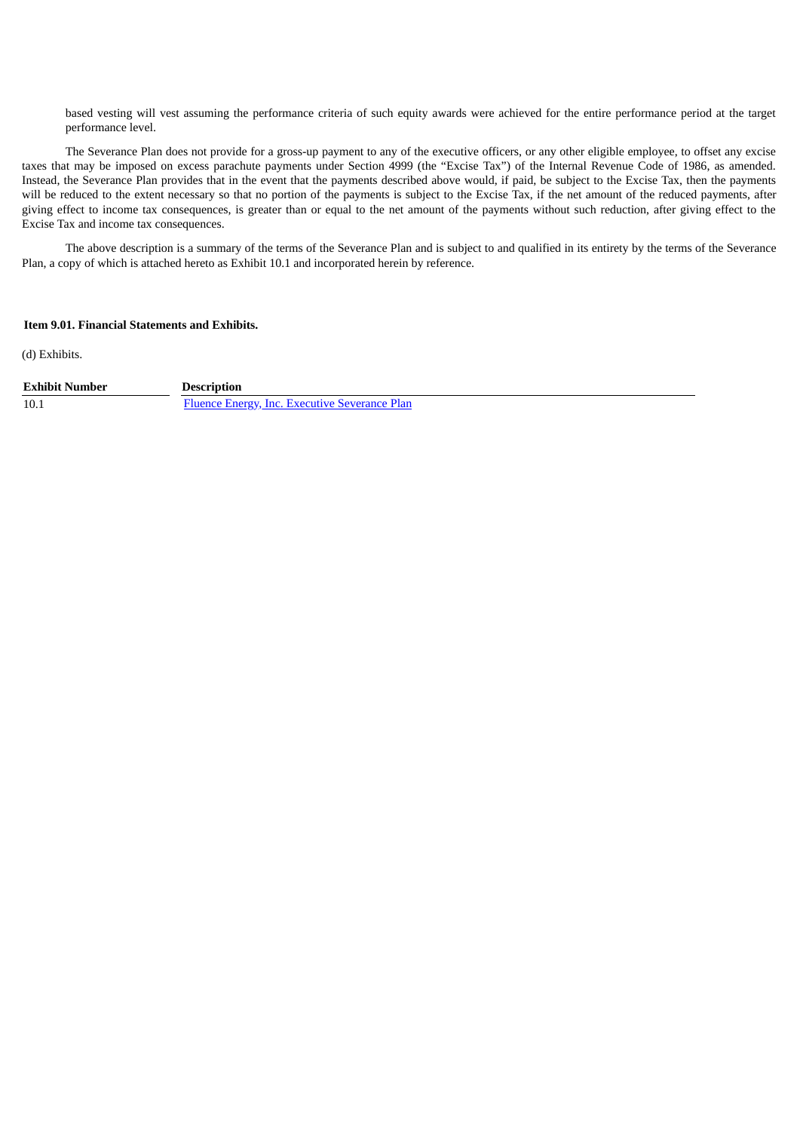based vesting will vest assuming the performance criteria of such equity awards were achieved for the entire performance period at the target performance level.

The Severance Plan does not provide for a gross-up payment to any of the executive officers, or any other eligible employee, to offset any excise taxes that may be imposed on excess parachute payments under Section 4999 (the "Excise Tax") of the Internal Revenue Code of 1986, as amended. Instead, the Severance Plan provides that in the event that the payments described above would, if paid, be subject to the Excise Tax, then the payments will be reduced to the extent necessary so that no portion of the payments is subject to the Excise Tax, if the net amount of the reduced payments, after giving effect to income tax consequences, is greater than or equal to the net amount of the payments without such reduction, after giving effect to the Excise Tax and income tax consequences.

The above description is a summary of the terms of the Severance Plan and is subject to and qualified in its entirety by the terms of the Severance Plan, a copy of which is attached hereto as Exhibit 10.1 and incorporated herein by reference.

### **Item 9.01. Financial Statements and Exhibits.**

(d) Exhibits.

**Exhibit Number Description**

10.1 Fluence Energy, Inc. Executive [Severance](#page-4-0) Plan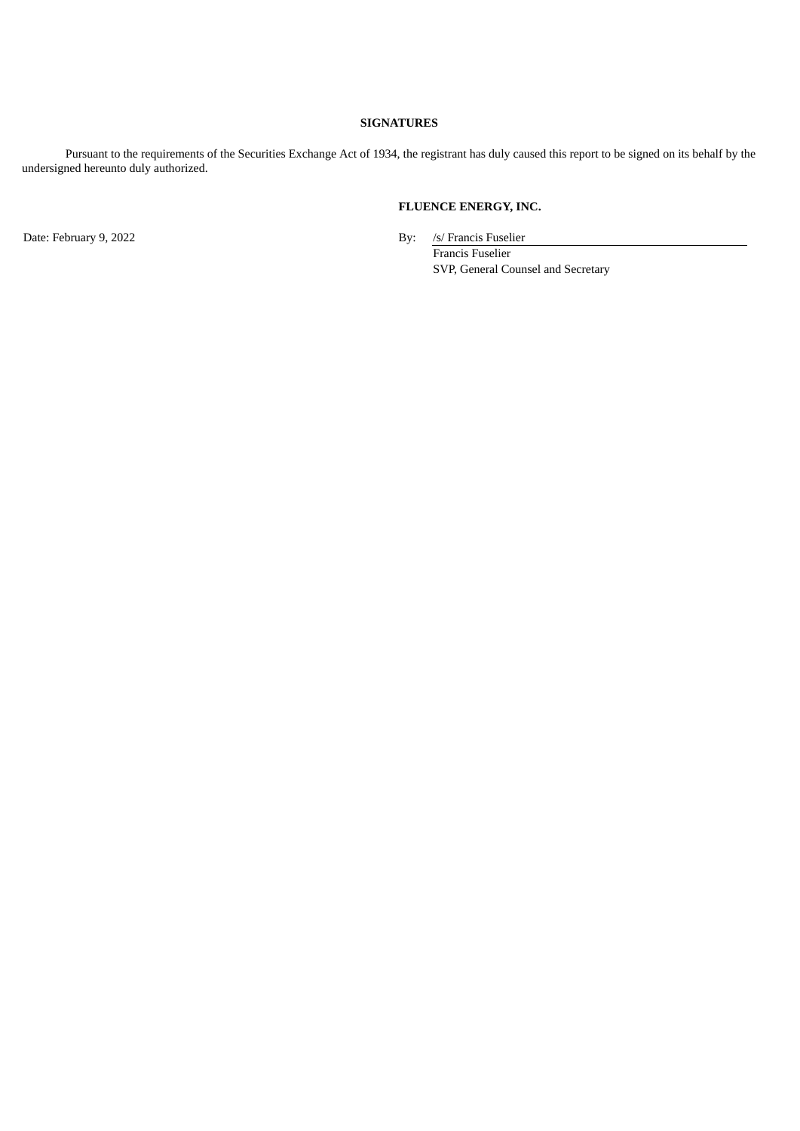## **SIGNATURES**

Pursuant to the requirements of the Securities Exchange Act of 1934, the registrant has duly caused this report to be signed on its behalf by the undersigned hereunto duly authorized.

## **FLUENCE ENERGY, INC.**

Date: February 9, 2022 **By:** /s/ Francis Fuselier Francis Fuselier SVP, General Counsel and Secretary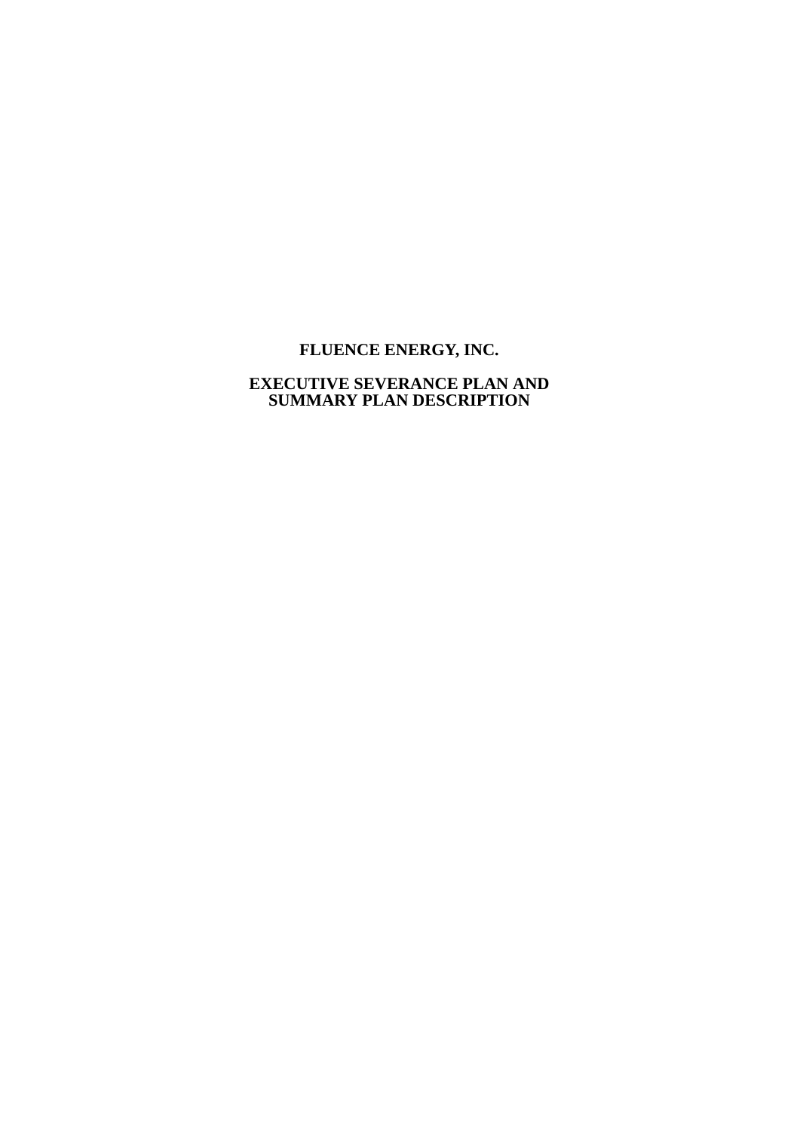# <span id="page-4-0"></span>**FLUENCE ENERGY, INC.**

## **EXECUTIVE SEVERANCE PLAN AND SUMMARY PLAN DESCRIPTION**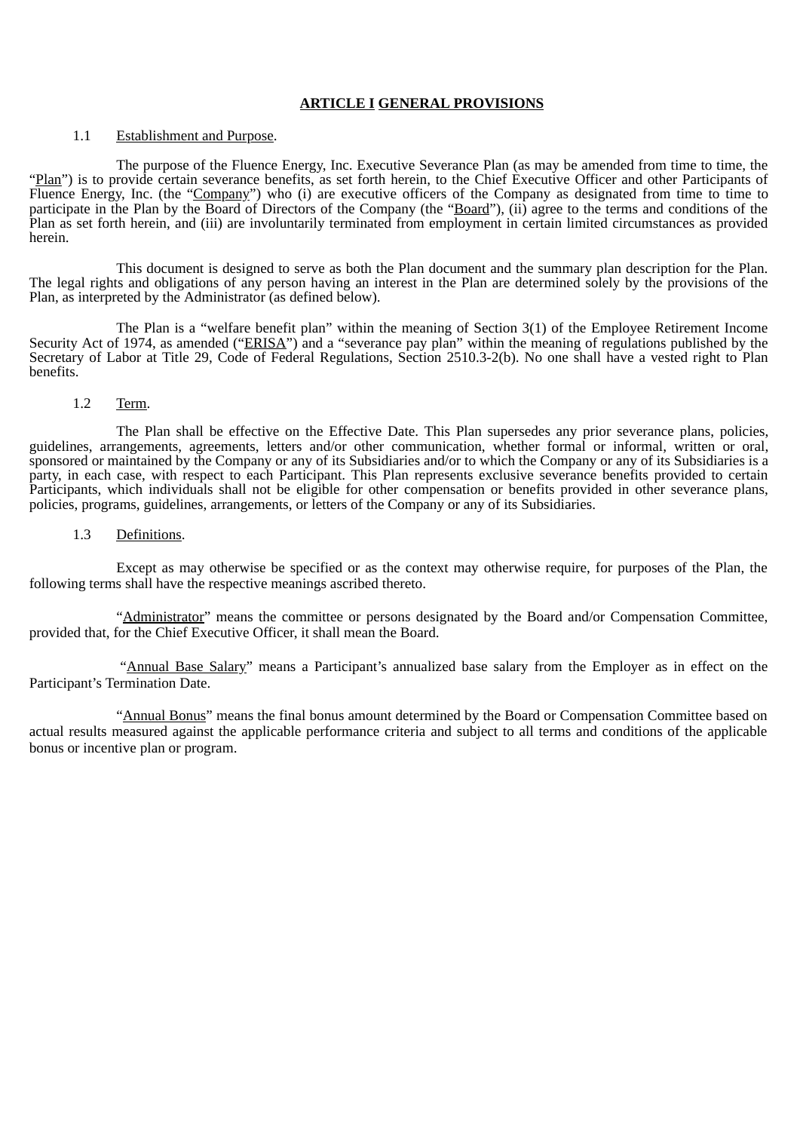## **ARTICLE I GENERAL PROVISIONS**

## 1.1 Establishment and Purpose.

The purpose of the Fluence Energy, Inc. Executive Severance Plan (as may be amended from time to time, the "Plan") is to provide certain severance benefits, as set forth herein, to the Chief Executive Officer and other Participants of Fluence Energy, Inc. (the "Company") who (i) are executive officers of the Company as designated from time to time to participate in the Plan by the Board of Directors of the Company (the "Board"), (ii) agree to the terms and conditions of the Plan as set forth herein, and (iii) are involuntarily terminated from employment in certain limited circumstances as provided herein.

This document is designed to serve as both the Plan document and the summary plan description for the Plan. The legal rights and obligations of any person having an interest in the Plan are determined solely by the provisions of the Plan, as interpreted by the Administrator (as defined below).

The Plan is a "welfare benefit plan" within the meaning of Section 3(1) of the Employee Retirement Income Security Act of 1974, as amended ("ERISA") and a "severance pay plan" within the meaning of regulations published by the Secretary of Labor at Title 29, Code of Federal Regulations, Section 2510.3-2(b). No one shall have a vested right to Plan benefits.

#### 1.2 Term.

The Plan shall be effective on the Effective Date. This Plan supersedes any prior severance plans, policies, guidelines, arrangements, agreements, letters and/or other communication, whether formal or informal, written or oral, sponsored or maintained by the Company or any of its Subsidiaries and/or to which the Company or any of its Subsidiaries is a party, in each case, with respect to each Participant. This Plan represents exclusive severance benefits provided to certain Participants, which individuals shall not be eligible for other compensation or benefits provided in other severance plans, policies, programs, guidelines, arrangements, or letters of the Company or any of its Subsidiaries.

#### 1.3 Definitions.

Except as may otherwise be specified or as the context may otherwise require, for purposes of the Plan, the following terms shall have the respective meanings ascribed thereto.

"Administrator" means the committee or persons designated by the Board and/or Compensation Committee, provided that, for the Chief Executive Officer, it shall mean the Board.

"Annual Base Salary" means a Participant's annualized base salary from the Employer as in effect on the Participant's Termination Date.

"Annual Bonus" means the final bonus amount determined by the Board or Compensation Committee based on actual results measured against the applicable performance criteria and subject to all terms and conditions of the applicable bonus or incentive plan or program.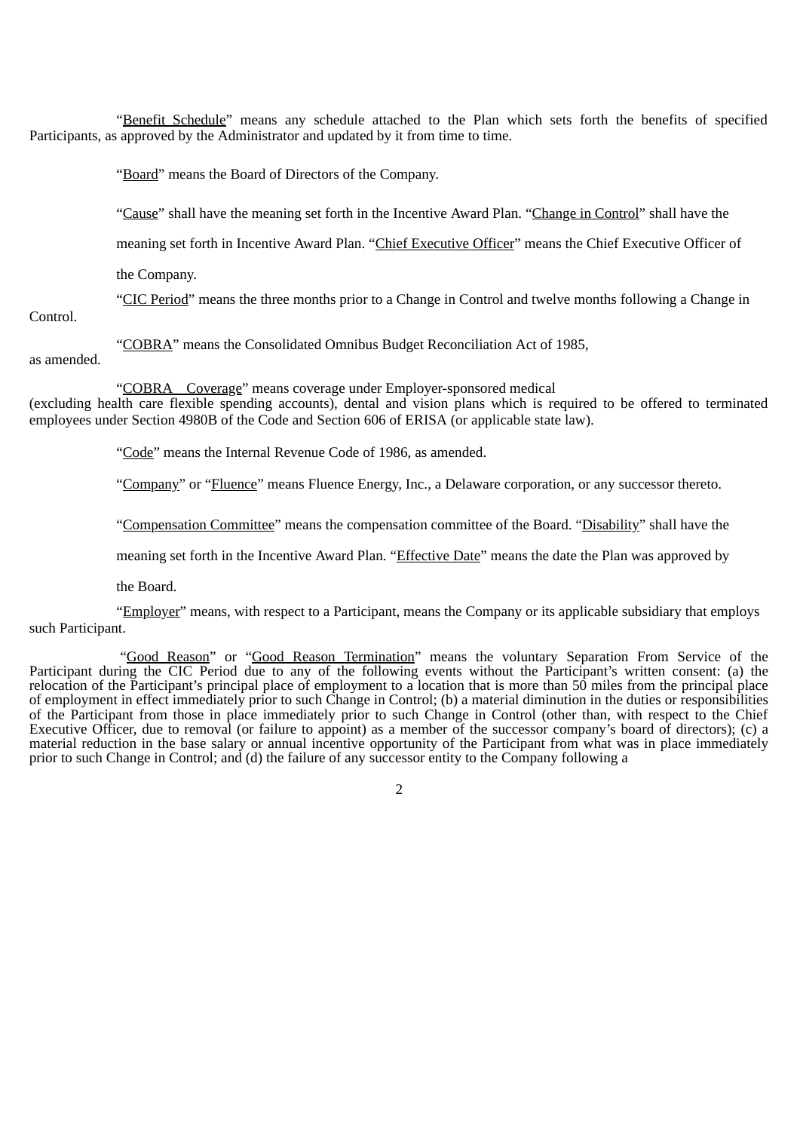"Benefit Schedule" means any schedule attached to the Plan which sets forth the benefits of specified Participants, as approved by the Administrator and updated by it from time to time.

"Board" means the Board of Directors of the Company.

"Cause" shall have the meaning set forth in the Incentive Award Plan. "Change in Control" shall have the

meaning set forth in Incentive Award Plan. "Chief Executive Officer" means the Chief Executive Officer of

the Company.

"CIC Period" means the three months prior to a Change in Control and twelve months following a Change in

Control.

"COBRA" means the Consolidated Omnibus Budget Reconciliation Act of 1985,

as amended.

"COBRA Coverage" means coverage under Employer-sponsored medical

(excluding health care flexible spending accounts), dental and vision plans which is required to be offered to terminated employees under Section 4980B of the Code and Section 606 of ERISA (or applicable state law).

"Code" means the Internal Revenue Code of 1986, as amended.

"Company" or "Fluence" means Fluence Energy, Inc., a Delaware corporation, or any successor thereto.

"Compensation Committee" means the compensation committee of the Board. "Disability" shall have the

meaning set forth in the Incentive Award Plan. "Effective Date" means the date the Plan was approved by

the Board.

"Employer" means, with respect to a Participant, means the Company or its applicable subsidiary that employs such Participant.

"Good Reason" or "Good Reason Termination" means the voluntary Separation From Service of the Participant during the CIC Period due to any of the following events without the Participant's written consent: (a) the relocation of the Participant's principal place of employment to a location that is more than 50 miles from the principal place of employment in effect immediately prior to such Change in Control; (b) a material diminution in the duties or responsibilities of the Participant from those in place immediately prior to such Change in Control (other than, with respect to the Chief Executive Officer, due to removal (or failure to appoint) as a member of the successor company's board of directors); (c) a material reduction in the base salary or annual incentive opportunity of the Participant from what was in place immediately prior to such Change in Control; and (d) the failure of any successor entity to the Company following a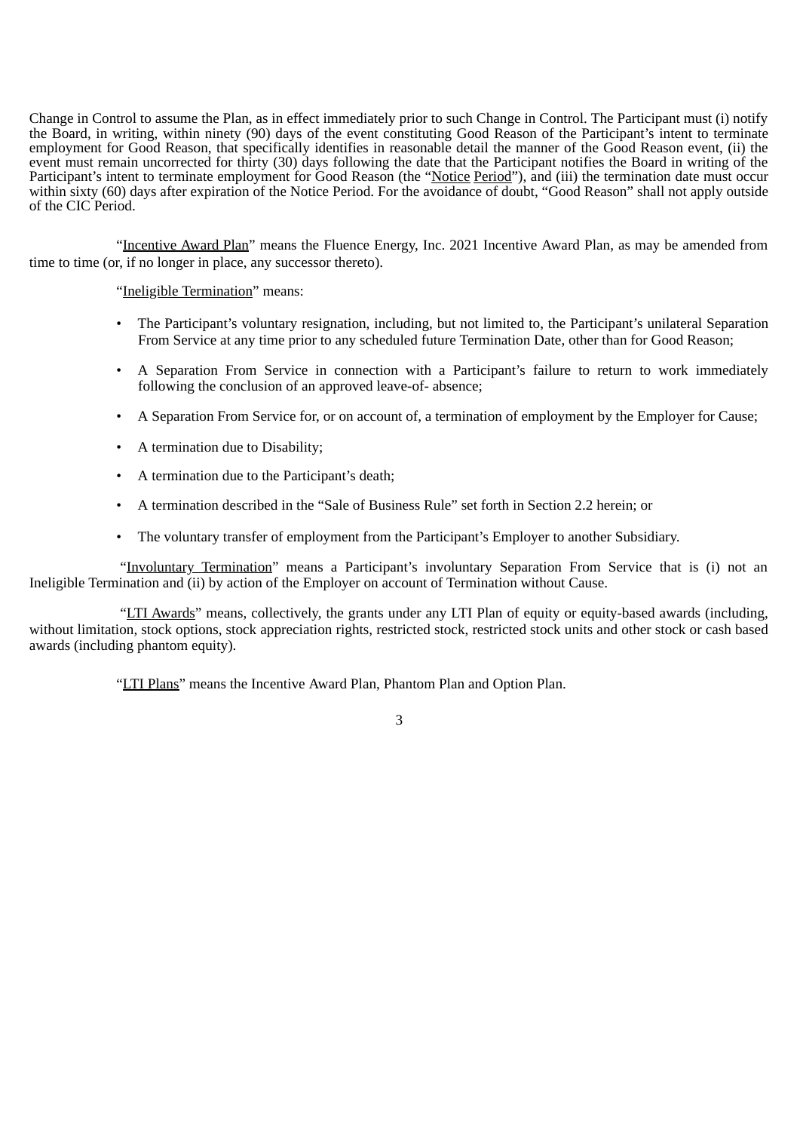Change in Control to assume the Plan, as in effect immediately prior to such Change in Control. The Participant must (i) notify the Board, in writing, within ninety (90) days of the event constituting Good Reason of the Participant's intent to terminate employment for Good Reason, that specifically identifies in reasonable detail the manner of the Good Reason event, (ii) the event must remain uncorrected for thirty (30) days following the date that the Participant notifies the Board in writing of the Participant's intent to terminate employment for Good Reason (the "Notice Period"), and (iii) the termination date must occur within sixty (60) days after expiration of the Notice Period. For the avoidance of doubt, "Good Reason" shall not apply outside of the CIC Period.

"Incentive Award Plan" means the Fluence Energy, Inc. 2021 Incentive Award Plan, as may be amended from time to time (or, if no longer in place, any successor thereto).

"Ineligible Termination" means:

- The Participant's voluntary resignation, including, but not limited to, the Participant's unilateral Separation From Service at any time prior to any scheduled future Termination Date, other than for Good Reason;
- A Separation From Service in connection with a Participant's failure to return to work immediately following the conclusion of an approved leave-of- absence;
- A Separation From Service for, or on account of, a termination of employment by the Employer for Cause;
- A termination due to Disability;
- A termination due to the Participant's death;
- A termination described in the "Sale of Business Rule" set forth in Section 2.2 herein; or
- The voluntary transfer of employment from the Participant's Employer to another Subsidiary.

"Involuntary Termination" means a Participant's involuntary Separation From Service that is (i) not an Ineligible Termination and (ii) by action of the Employer on account of Termination without Cause.

"LTI Awards" means, collectively, the grants under any LTI Plan of equity or equity-based awards (including, without limitation, stock options, stock appreciation rights, restricted stock, restricted stock units and other stock or cash based awards (including phantom equity).

"LTI Plans" means the Incentive Award Plan, Phantom Plan and Option Plan.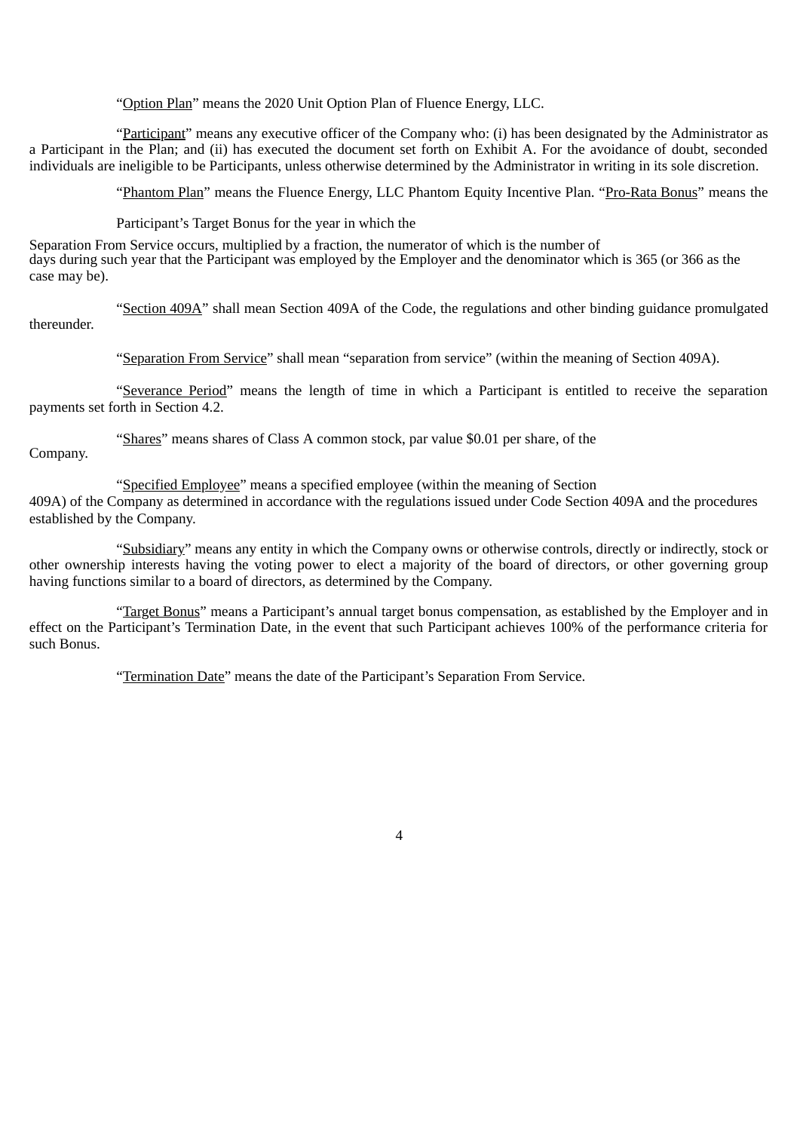"Option Plan" means the 2020 Unit Option Plan of Fluence Energy, LLC.

"Participant" means any executive officer of the Company who: (i) has been designated by the Administrator as a Participant in the Plan; and (ii) has executed the document set forth on Exhibit A. For the avoidance of doubt, seconded individuals are ineligible to be Participants, unless otherwise determined by the Administrator in writing in its sole discretion.

"Phantom Plan" means the Fluence Energy, LLC Phantom Equity Incentive Plan. "Pro-Rata Bonus" means the

Participant's Target Bonus for the year in which the

Separation From Service occurs, multiplied by a fraction, the numerator of which is the number of days during such year that the Participant was employed by the Employer and the denominator which is 365 (or 366 as the case may be).

"Section 409A" shall mean Section 409A of the Code, the regulations and other binding guidance promulgated thereunder.

"Separation From Service" shall mean "separation from service" (within the meaning of Section 409A).

"Severance Period" means the length of time in which a Participant is entitled to receive the separation payments set forth in Section 4.2.

"Shares" means shares of Class A common stock, par value \$0.01 per share, of the Company.

"Specified Employee" means a specified employee (within the meaning of Section

409A) of the Company as determined in accordance with the regulations issued under Code Section 409A and the procedures established by the Company.

"Subsidiary" means any entity in which the Company owns or otherwise controls, directly or indirectly, stock or other ownership interests having the voting power to elect a majority of the board of directors, or other governing group having functions similar to a board of directors, as determined by the Company.

"Target Bonus" means a Participant's annual target bonus compensation, as established by the Employer and in effect on the Participant's Termination Date, in the event that such Participant achieves 100% of the performance criteria for such Bonus.

"Termination Date" means the date of the Participant's Separation From Service.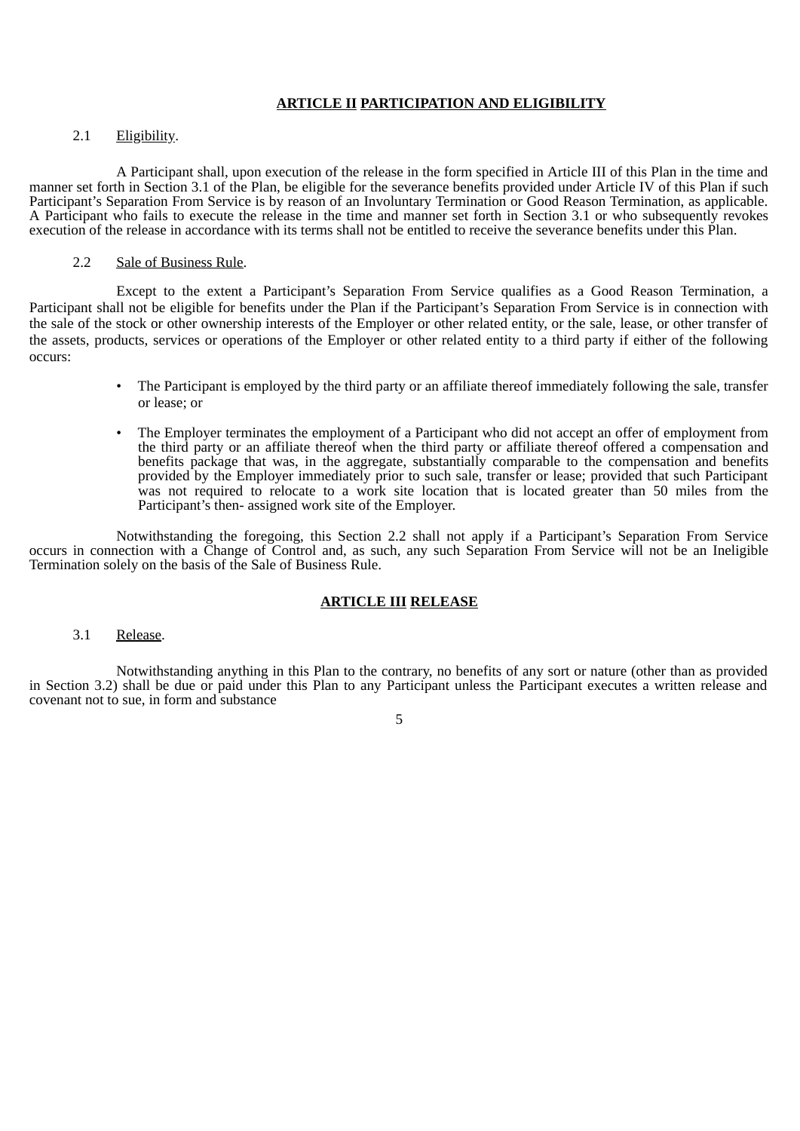## **ARTICLE II PARTICIPATION AND ELIGIBILITY**

## 2.1 Eligibility.

A Participant shall, upon execution of the release in the form specified in Article III of this Plan in the time and manner set forth in Section 3.1 of the Plan, be eligible for the severance benefits provided under Article IV of this Plan if such Participant's Separation From Service is by reason of an Involuntary Termination or Good Reason Termination, as applicable. A Participant who fails to execute the release in the time and manner set forth in Section 3.1 or who subsequently revokes execution of the release in accordance with its terms shall not be entitled to receive the severance benefits under this Plan.

## 2.2 Sale of Business Rule.

Except to the extent a Participant's Separation From Service qualifies as a Good Reason Termination, a Participant shall not be eligible for benefits under the Plan if the Participant's Separation From Service is in connection with the sale of the stock or other ownership interests of the Employer or other related entity, or the sale, lease, or other transfer of the assets, products, services or operations of the Employer or other related entity to a third party if either of the following occurs:

- The Participant is employed by the third party or an affiliate thereof immediately following the sale, transfer or lease; or
- The Employer terminates the employment of a Participant who did not accept an offer of employment from the third party or an affiliate thereof when the third party or affiliate thereof offered a compensation and benefits package that was, in the aggregate, substantially comparable to the compensation and benefits provided by the Employer immediately prior to such sale, transfer or lease; provided that such Participant was not required to relocate to a work site location that is located greater than 50 miles from the Participant's then- assigned work site of the Employer.

Notwithstanding the foregoing, this Section 2.2 shall not apply if a Participant's Separation From Service occurs in connection with a Change of Control and, as such, any such Separation From Service will not be an Ineligible Termination solely on the basis of the Sale of Business Rule.

## **ARTICLE III RELEASE**

3.1 Release.

Notwithstanding anything in this Plan to the contrary, no benefits of any sort or nature (other than as provided in Section 3.2) shall be due or paid under this Plan to any Participant unless the Participant executes a written release and covenant not to sue, in form and substance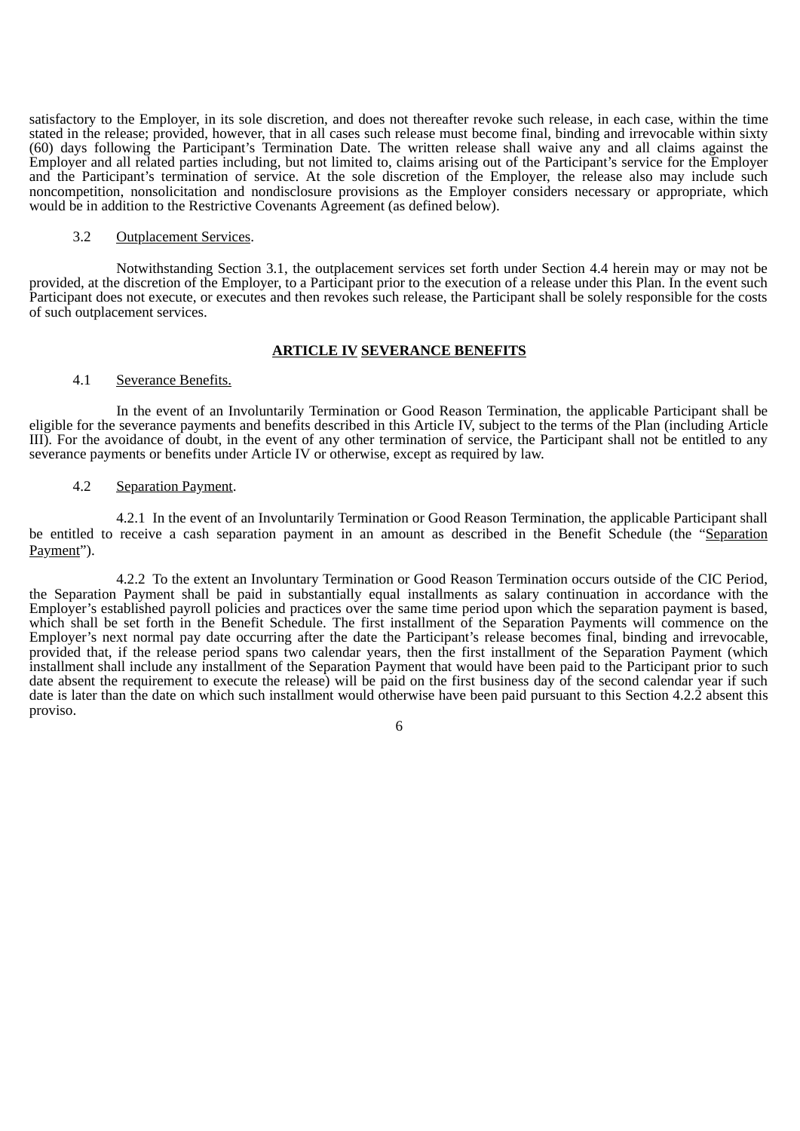satisfactory to the Employer, in its sole discretion, and does not thereafter revoke such release, in each case, within the time stated in the release; provided, however, that in all cases such release must become final, binding and irrevocable within sixty (60) days following the Participant's Termination Date. The written release shall waive any and all claims against the Employer and all related parties including, but not limited to, claims arising out of the Participant's service for the Employer and the Participant's termination of service. At the sole discretion of the Employer, the release also may include such noncompetition, nonsolicitation and nondisclosure provisions as the Employer considers necessary or appropriate, which would be in addition to the Restrictive Covenants Agreement (as defined below).

#### 3.2 Outplacement Services.

Notwithstanding Section 3.1, the outplacement services set forth under Section 4.4 herein may or may not be provided, at the discretion of the Employer, to a Participant prior to the execution of a release under this Plan. In the event such Participant does not execute, or executes and then revokes such release, the Participant shall be solely responsible for the costs of such outplacement services.

#### **ARTICLE IV SEVERANCE BENEFITS**

### 4.1 Severance Benefits.

In the event of an Involuntarily Termination or Good Reason Termination, the applicable Participant shall be eligible for the severance payments and benefits described in this Article IV, subject to the terms of the Plan (including Article III). For the avoidance of doubt, in the event of any other termination of service, the Participant shall not be entitled to any severance payments or benefits under Article IV or otherwise, except as required by law.

#### 4.2 Separation Payment.

4.2.1 In the event of an Involuntarily Termination or Good Reason Termination, the applicable Participant shall be entitled to receive a cash separation payment in an amount as described in the Benefit Schedule (the "Separation Payment").

4.2.2 To the extent an Involuntary Termination or Good Reason Termination occurs outside of the CIC Period, the Separation Payment shall be paid in substantially equal installments as salary continuation in accordance with the Employer's established payroll policies and practices over the same time period upon which the separation payment is based, which shall be set forth in the Benefit Schedule. The first installment of the Separation Payments will commence on the Employer's next normal pay date occurring after the date the Participant's release becomes final, binding and irrevocable, provided that, if the release period spans two calendar years, then the first installment of the Separation Payment (which installment shall include any installment of the Separation Payment that would have been paid to the Participant prior to such date absent the requirement to execute the release) will be paid on the first business day of the second calendar year if such date is later than the date on which such installment would otherwise have been paid pursuant to this Section 4.2.2 absent this proviso.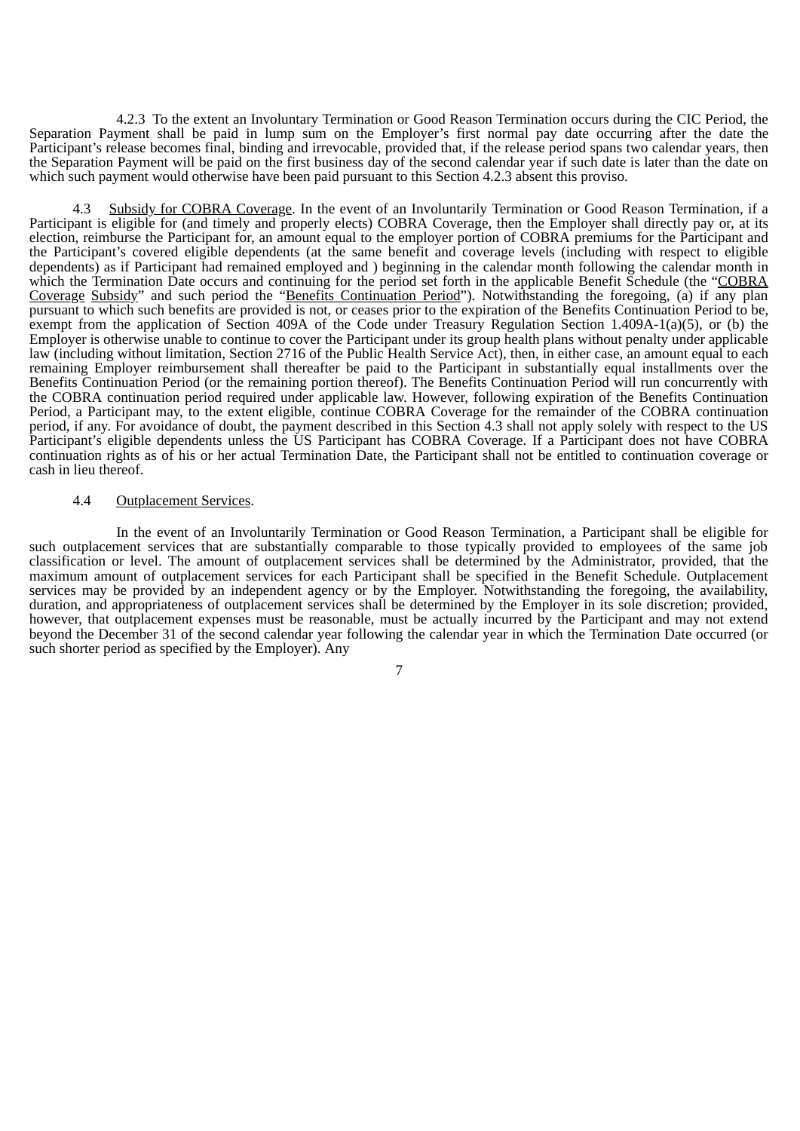4.2.3 To the extent an Involuntary Termination or Good Reason Termination occurs during the CIC Period, the Separation Payment shall be paid in lump sum on the Employer's first normal pay date occurring after the date the Participant's release becomes final, binding and irrevocable, provided that, if the release period spans two calendar years, then the Separation Payment will be paid on the first business day of the second calendar year if such date is later than the date on which such payment would otherwise have been paid pursuant to this Section 4.2.3 absent this proviso.

Subsidy for COBRA Coverage. In the event of an Involuntarily Termination or Good Reason Termination, if a Participant is eligible for (and timely and properly elects) COBRA Coverage, then the Employer shall directly pay or, at its election, reimburse the Participant for, an amount equal to the employer portion of COBRA premiums for the Participant and the Participant's covered eligible dependents (at the same benefit and coverage levels (including with respect to eligible dependents) as if Participant had remained employed and ) beginning in the calendar month following the calendar month in which the Termination Date occurs and continuing for the period set forth in the applicable Benefit Schedule (the "COBRA Coverage Subsidy" and such period the "Benefits Continuation Period"). Notwithstanding the foregoing, (a) if any plan pursuant to which such benefits are provided is not, or ceases prior to the expiration of the Benefits Continuation Period to be, exempt from the application of Section 409A of the Code under Treasury Regulation Section 1.409A-1(a)(5), or (b) the Employer is otherwise unable to continue to cover the Participant under its group health plans without penalty under applicable law (including without limitation, Section 2716 of the Public Health Service Act), then, in either case, an amount equal to each remaining Employer reimbursement shall thereafter be paid to the Participant in substantially equal installments over the Benefits Continuation Period (or the remaining portion thereof). The Benefits Continuation Period will run concurrently with the COBRA continuation period required under applicable law. However, following expiration of the Benefits Continuation Period, a Participant may, to the extent eligible, continue COBRA Coverage for the remainder of the COBRA continuation period, if any. For avoidance of doubt, the payment described in this Section 4.3 shall not apply solely with respect to the US Participant's eligible dependents unless the US Participant has COBRA Coverage. If a Participant does not have COBRA continuation rights as of his or her actual Termination Date, the Participant shall not be entitled to continuation coverage or cash in lieu thereof.

#### 4.4 Outplacement Services.

In the event of an Involuntarily Termination or Good Reason Termination, a Participant shall be eligible for such outplacement services that are substantially comparable to those typically provided to employees of the same job classification or level. The amount of outplacement services shall be determined by the Administrator, provided, that the maximum amount of outplacement services for each Participant shall be specified in the Benefit Schedule. Outplacement services may be provided by an independent agency or by the Employer. Notwithstanding the foregoing, the availability, duration, and appropriateness of outplacement services shall be determined by the Employer in its sole discretion; provided, however, that outplacement expenses must be reasonable, must be actually incurred by the Participant and may not extend beyond the December 31 of the second calendar year following the calendar year in which the Termination Date occurred (or such shorter period as specified by the Employer). Any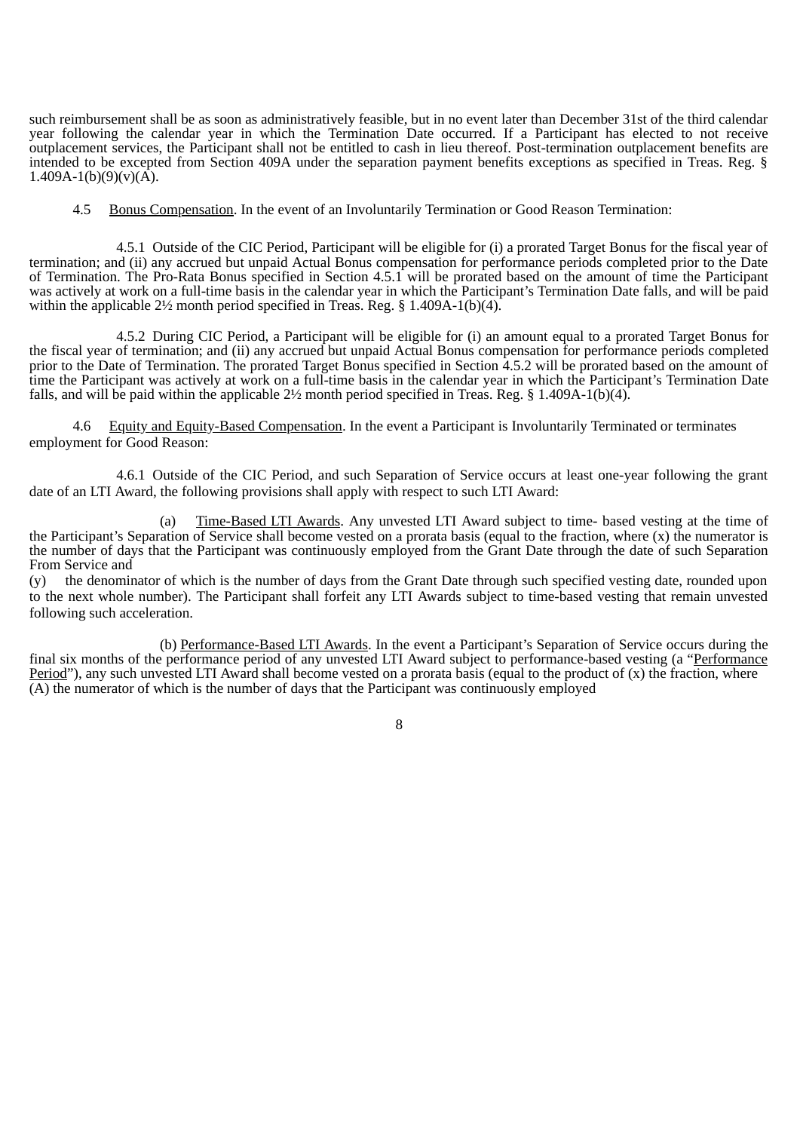such reimbursement shall be as soon as administratively feasible, but in no event later than December 31st of the third calendar year following the calendar year in which the Termination Date occurred. If a Participant has elected to not receive outplacement services, the Participant shall not be entitled to cash in lieu thereof. Post-termination outplacement benefits are intended to be excepted from Section 409A under the separation payment benefits exceptions as specified in Treas. Reg. § 1.409A-1(b)(9)(v)( $\overline{A}$ ).

4.5 Bonus Compensation. In the event of an Involuntarily Termination or Good Reason Termination:

4.5.1 Outside of the CIC Period, Participant will be eligible for (i) a prorated Target Bonus for the fiscal year of termination; and (ii) any accrued but unpaid Actual Bonus compensation for performance periods completed prior to the Date of Termination. The Pro-Rata Bonus specified in Section 4.5.1 will be prorated based on the amount of time the Participant was actively at work on a full-time basis in the calendar year in which the Participant's Termination Date falls, and will be paid within the applicable  $2\frac{1}{2}$  month period specified in Treas. Reg. § 1.409A-1(b)(4).

4.5.2 During CIC Period, a Participant will be eligible for (i) an amount equal to a prorated Target Bonus for the fiscal year of termination; and (ii) any accrued but unpaid Actual Bonus compensation for performance periods completed prior to the Date of Termination. The prorated Target Bonus specified in Section 4.5.2 will be prorated based on the amount of time the Participant was actively at work on a full-time basis in the calendar year in which the Participant's Termination Date falls, and will be paid within the applicable  $2\frac{1}{2}$  month period specified in Treas. Reg. § 1.409A-1(b)(4).

4.6 Equity and Equity-Based Compensation. In the event a Participant is Involuntarily Terminated or terminates employment for Good Reason:

4.6.1 Outside of the CIC Period, and such Separation of Service occurs at least one-year following the grant date of an LTI Award, the following provisions shall apply with respect to such LTI Award:

(a) Time-Based LTI Awards. Any unvested LTI Award subject to time- based vesting at the time of the Participant's Separation of Service shall become vested on a prorata basis (equal to the fraction, where (x) the numerator is the number of days that the Participant was continuously employed from the Grant Date through the date of such Separation From Service and

(y) the denominator of which is the number of days from the Grant Date through such specified vesting date, rounded upon to the next whole number). The Participant shall forfeit any LTI Awards subject to time-based vesting that remain unvested following such acceleration.

(b) Performance-Based LTI Awards. In the event a Participant's Separation of Service occurs during the final six months of the performance period of any unvested LTI Award subject to performance-based vesting (a "Performance Period"), any such unvested LTI Award shall become vested on a prorata basis (equal to the product of  $(x)$ ) the fraction, where (A) the numerator of which is the number of days that the Participant was continuously employed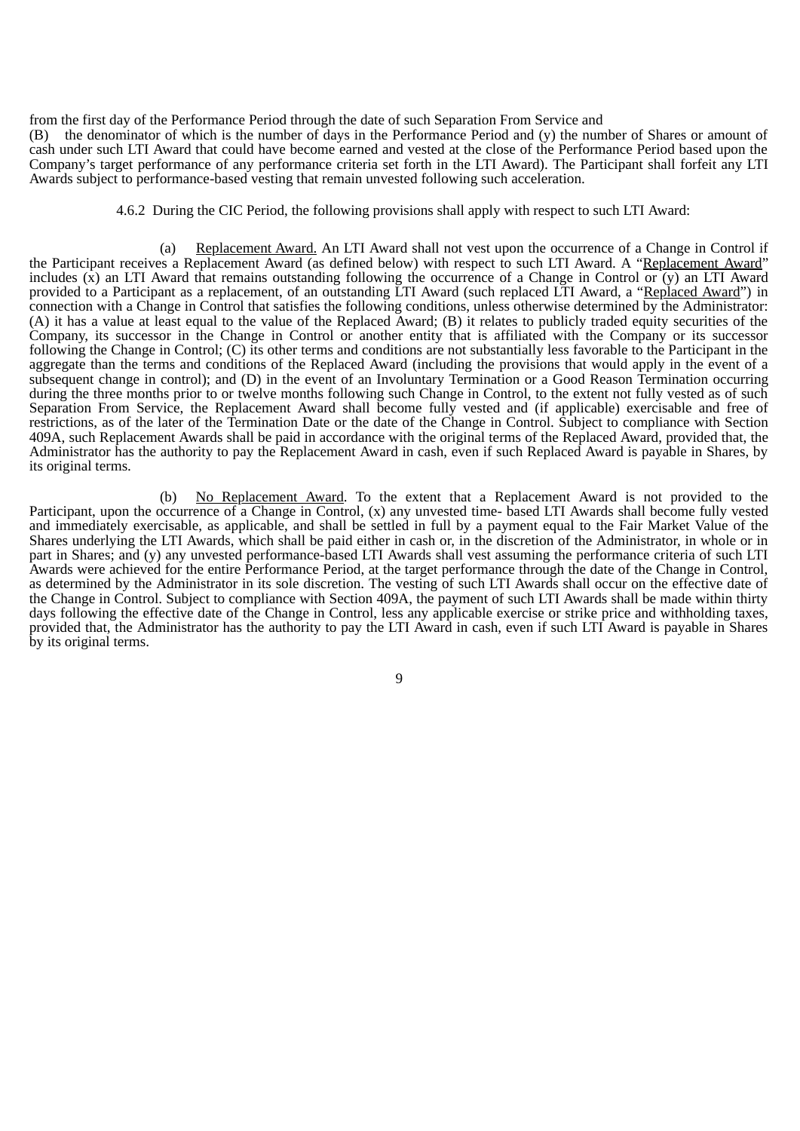from the first day of the Performance Period through the date of such Separation From Service and (B) the denominator of which is the number of days in the Performance Period and (y) the number of Shares or amount of cash under such LTI Award that could have become earned and vested at the close of the Performance Period based upon the Company's target performance of any performance criteria set forth in the LTI Award). The Participant shall forfeit any LTI Awards subject to performance-based vesting that remain unvested following such acceleration.

4.6.2 During the CIC Period, the following provisions shall apply with respect to such LTI Award:

(a) Replacement Award. An LTI Award shall not vest upon the occurrence of a Change in Control if the Participant receives a Replacement Award (as defined below) with respect to such LTI Award. A "Replacement Award" includes  $(\bar{x})$  an LTI Award that remains outstanding following the occurrence of a Change in Control or  $(y)$  an LTI Award provided to a Participant as a replacement, of an outstanding LTI Award (such replaced LTI Award, a "<u>Replaced Award</u>") in connection with a Change in Control that satisfies the following conditions, unless otherwise determined by the Administrator: (A) it has a value at least equal to the value of the Replaced Award; (B) it relates to publicly traded equity securities of the Company, its successor in the Change in Control or another entity that is affiliated with the Company or its successor following the Change in Control; (C) its other terms and conditions are not substantially less favorable to the Participant in the aggregate than the terms and conditions of the Replaced Award (including the provisions that would apply in the event of a subsequent change in control); and (D) in the event of an Involuntary Termination or a Good Reason Termination occurring during the three months prior to or twelve months following such Change in Control, to the extent not fully vested as of such Separation From Service, the Replacement Award shall become fully vested and (if applicable) exercisable and free of restrictions, as of the later of the Termination Date or the date of the Change in Control. Subject to compliance with Section 409A, such Replacement Awards shall be paid in accordance with the original terms of the Replaced Award, provided that, the Administrator has the authority to pay the Replacement Award in cash, even if such Replaced Award is payable in Shares, by its original terms.

(b) No Replacement Award. To the extent that a Replacement Award is not provided to the Participant, upon the occurrence of a Change in Control, (x) any unvested time- based LTI Awards shall become fully vested and immediately exercisable, as applicable, and shall be settled in full by a payment equal to the Fair Market Value of the Shares underlying the LTI Awards, which shall be paid either in cash or, in the discretion of the Administrator, in whole or in part in Shares; and (y) any unvested performance-based LTI Awards shall vest assuming the performance criteria of such LTI Awards were achieved for the entire Performance Period, at the target performance through the date of the Change in Control, as determined by the Administrator in its sole discretion. The vesting of such LTI Awards shall occur on the effective date of the Change in Control. Subject to compliance with Section 409A, the payment of such LTI Awards shall be made within thirty days following the effective date of the Change in Control, less any applicable exercise or strike price and withholding taxes, provided that, the Administrator has the authority to pay the LTI Award in cash, even if such LTI Award is payable in Shares by its original terms.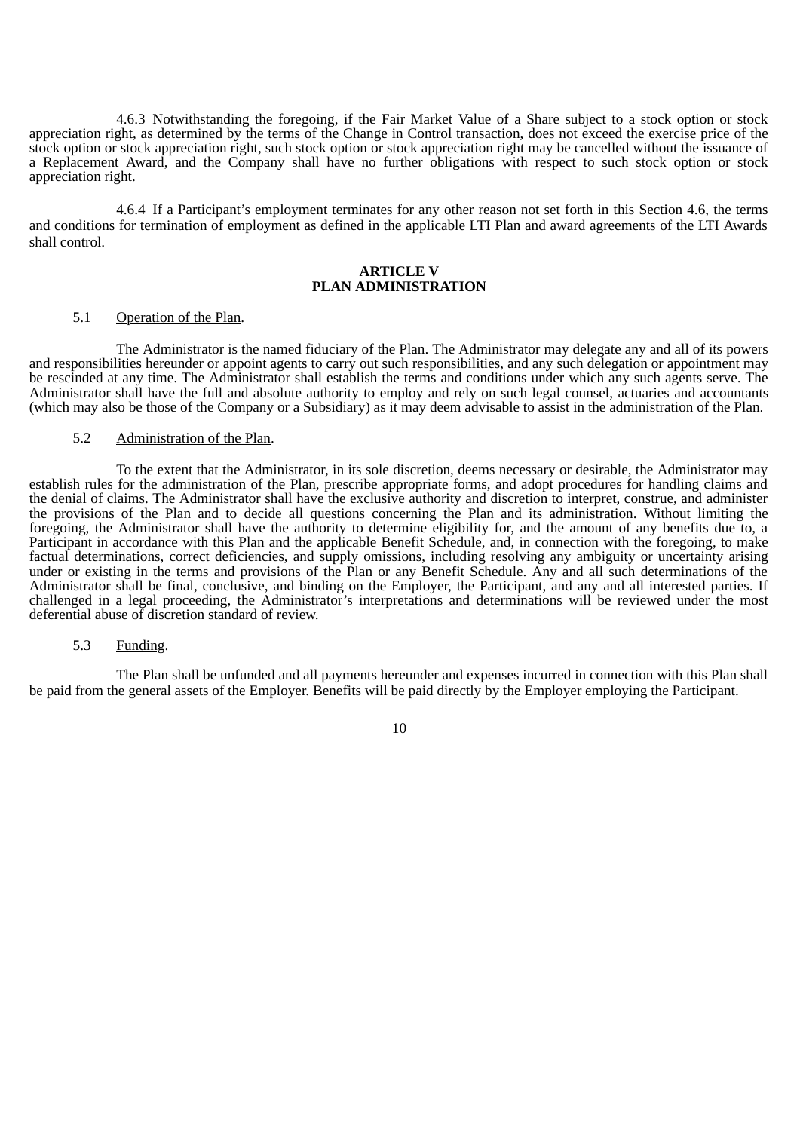4.6.3 Notwithstanding the foregoing, if the Fair Market Value of a Share subject to a stock option or stock appreciation right, as determined by the terms of the Change in Control transaction, does not exceed the exercise price of the stock option or stock appreciation right, such stock option or stock appreciation right may be cancelled without the issuance of a Replacement Award, and the Company shall have no further obligations with respect to such stock option or stock appreciation right.

4.6.4 If a Participant's employment terminates for any other reason not set forth in this Section 4.6, the terms and conditions for termination of employment as defined in the applicable LTI Plan and award agreements of the LTI Awards shall control.

## **ARTICLE V PLAN ADMINISTRATION**

#### 5.1 Operation of the Plan.

The Administrator is the named fiduciary of the Plan. The Administrator may delegate any and all of its powers and responsibilities hereunder or appoint agents to carry out such responsibilities, and any such delegation or appointment may be rescinded at any time. The Administrator shall establish the terms and conditions under which any such agents serve. The Administrator shall have the full and absolute authority to employ and rely on such legal counsel, actuaries and accountants (which may also be those of the Company or a Subsidiary) as it may deem advisable to assist in the administration of the Plan.

#### 5.2 Administration of the Plan.

To the extent that the Administrator, in its sole discretion, deems necessary or desirable, the Administrator may establish rules for the administration of the Plan, prescribe appropriate forms, and adopt procedures for handling claims and the denial of claims. The Administrator shall have the exclusive authority and discretion to interpret, construe, and administer the provisions of the Plan and to decide all questions concerning the Plan and its administration. Without limiting the foregoing, the Administrator shall have the authority to determine eligibility for, and the amount of any benefits due to, a Participant in accordance with this Plan and the applicable Benefit Schedule, and, in connection with the foregoing, to make factual determinations, correct deficiencies, and supply omissions, including resolving any ambiguity or uncertainty arising under or existing in the terms and provisions of the Plan or any Benefit Schedule. Any and all such determinations of the Administrator shall be final, conclusive, and binding on the Employer, the Participant, and any and all interested parties. If challenged in a legal proceeding, the Administrator's interpretations and determinations will be reviewed under the most deferential abuse of discretion standard of review.

#### 5.3 Funding.

The Plan shall be unfunded and all payments hereunder and expenses incurred in connection with this Plan shall be paid from the general assets of the Employer. Benefits will be paid directly by the Employer employing the Participant.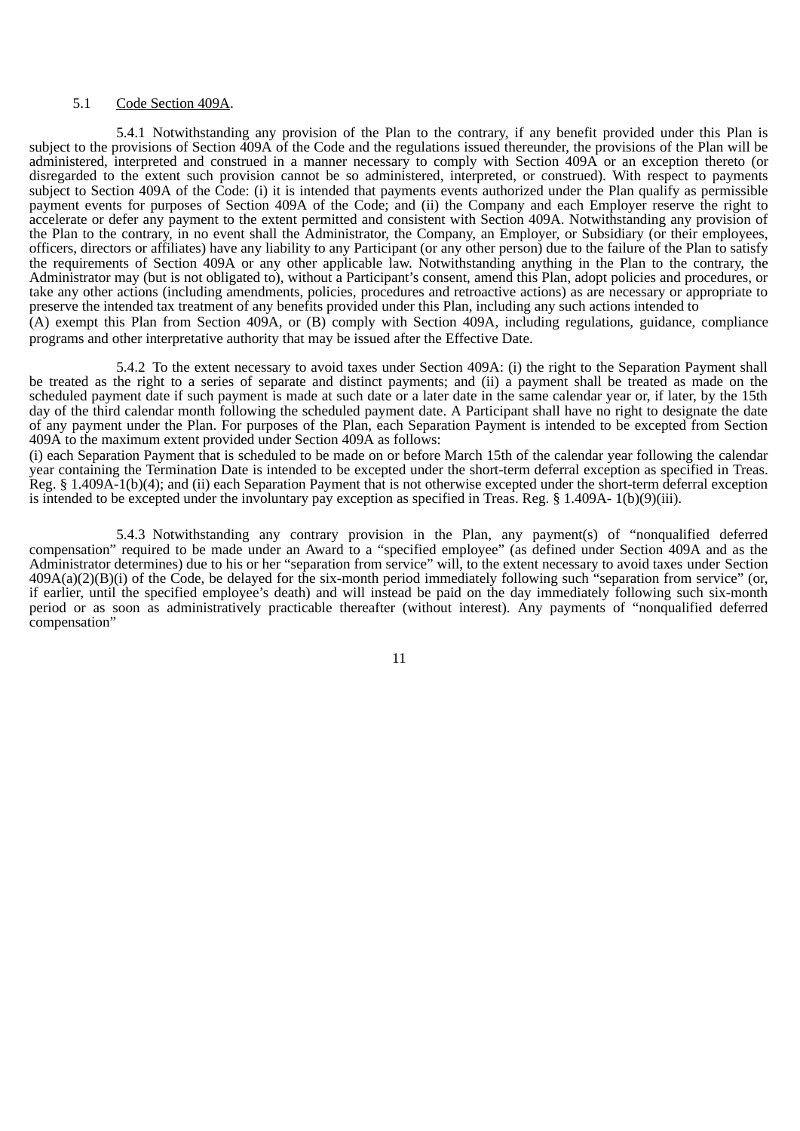#### 5.1 Code Section 409A.

5.4.1 Notwithstanding any provision of the Plan to the contrary, if any benefit provided under this Plan is subject to the provisions of Section 409A of the Code and the regulations issued thereunder, the provisions of the Plan will be administered, interpreted and construed in a manner necessary to comply with Section 409A or an exception thereto (or disregarded to the extent such provision cannot be so administered, interpreted, or construed). With respect to payments subject to Section 409A of the Code: (i) it is intended that payments events authorized under the Plan qualify as permissible payment events for purposes of Section 409A of the Code; and (ii) the Company and each Employer reserve the right to accelerate or defer any payment to the extent permitted and consistent with Section 409A. Notwithstanding any provision of the Plan to the contrary, in no event shall the Administrator, the Company, an Employer, or Subsidiary (or their employees, officers, directors or affiliates) have any liability to any Participant (or any other person) due to the failure of the Plan to satisfy the requirements of Section 409A or any other applicable law. Notwithstanding anything in the Plan to the contrary, the Administrator may (but is not obligated to), without a Participant's consent, amend this Plan, adopt policies and procedures, or take any other actions (including amendments, policies, procedures and retroactive actions) as are necessary or appropriate to preserve the intended tax treatment of any benefits provided under this Plan, including any such actions intended to (A) exempt this Plan from Section 409A, or (B) comply with Section 409A, including regulations, guidance, compliance programs and other interpretative authority that may be issued after the Effective Date.

5.4.2 To the extent necessary to avoid taxes under Section 409A: (i) the right to the Separation Payment shall be treated as the right to a series of separate and distinct payments; and (ii) a payment shall be treated as made on the scheduled payment date if such payment is made at such date or a later date in the same calendar year or, if later, by the 15th day of the third calendar month following the scheduled payment date. A Participant shall have no right to designate the date of any payment under the Plan. For purposes of the Plan, each Separation Payment is intended to be excepted from Section 409A to the maximum extent provided under Section 409A as follows:

(i) each Separation Payment that is scheduled to be made on or before March 15th of the calendar year following the calendar year containing the Termination Date is intended to be excepted under the short-term deferral exception as specified in Treas. Reg. § 1.409A-1(b)(4); and (ii) each Separation Payment that is not otherwise excepted under the short-term deferral exception is intended to be excepted under the involuntary pay exception as specified in Treas. Reg. § 1.409A- 1(b)(9)(iii).

5.4.3 Notwithstanding any contrary provision in the Plan, any payment(s) of "nonqualified deferred compensation" required to be made under an Award to a "specified employee" (as defined under Section 409A and as the Administrator determines) due to his or her "separation from service" will, to the extent necessary to avoid taxes under Section 409A(a)(2)(B)(i) of the Code, be delayed for the six-month period immediately following such "separation from service" (or, if earlier, until the specified employee's death) and will instead be paid on the day immediately following such six-month period or as soon as administratively practicable thereafter (without interest). Any payments of "nonqualified deferred compensation"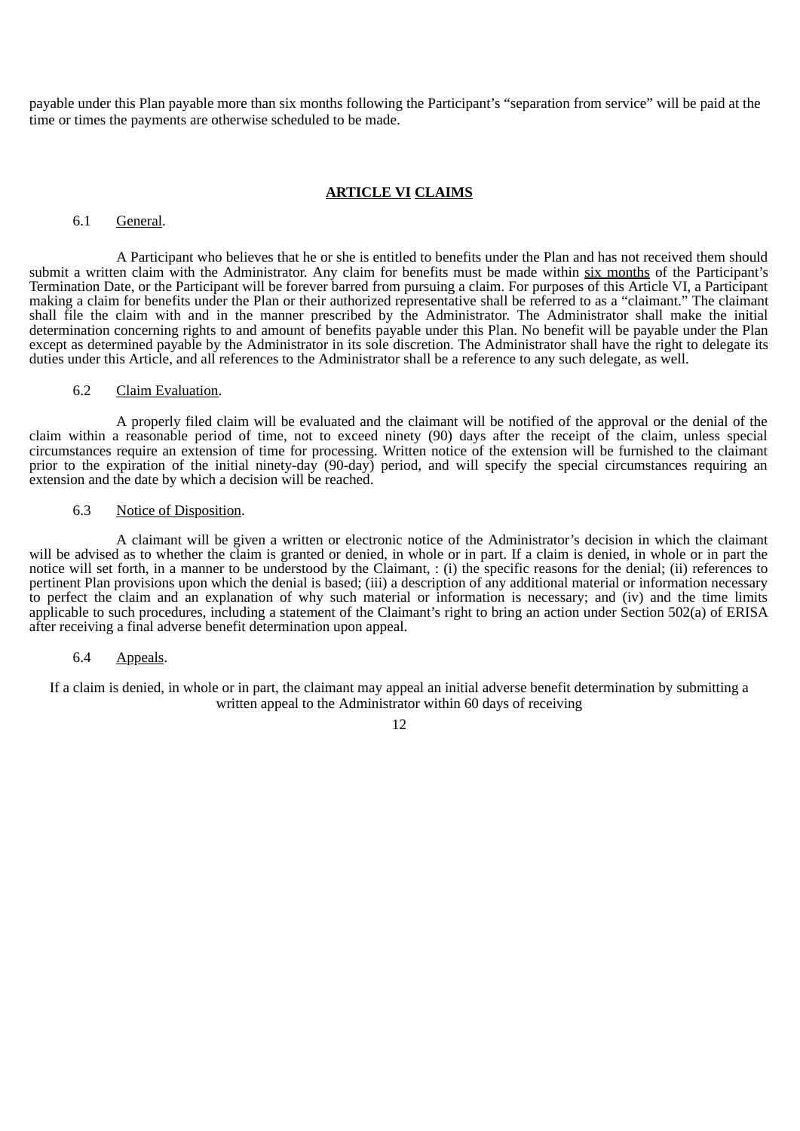payable under this Plan payable more than six months following the Participant's "separation from service" will be paid at the time or times the payments are otherwise scheduled to be made.

### **ARTICLE VI CLAIMS**

### 6.1 General.

A Participant who believes that he or she is entitled to benefits under the Plan and has not received them should submit a written claim with the Administrator. Any claim for benefits must be made within six months of the Participant's Termination Date, or the Participant will be forever barred from pursuing a claim. For purposes of this Article VI, a Participant making a claim for benefits under the Plan or their authorized representative shall be referred to as a "claimant." The claimant shall file the claim with and in the manner prescribed by the Administrator. The Administrator shall make the initial determination concerning rights to and amount of benefits payable under this Plan. No benefit will be payable under the Plan except as determined payable by the Administrator in its sole discretion. The Administrator shall have the right to delegate its duties under this Article, and all references to the Administrator shall be a reference to any such delegate, as well.

## 6.2 Claim Evaluation.

A properly filed claim will be evaluated and the claimant will be notified of the approval or the denial of the claim within a reasonable period of time, not to exceed ninety (90) days after the receipt of the claim, unless special circumstances require an extension of time for processing. Written notice of the extension will be furnished to the claimant prior to the expiration of the initial ninety-day (90-day) period, and will specify the special circumstances requiring an extension and the date by which a decision will be reached.

#### 6.3 Notice of Disposition.

A claimant will be given a written or electronic notice of the Administrator's decision in which the claimant will be advised as to whether the claim is granted or denied, in whole or in part. If a claim is denied, in whole or in part the notice will set forth, in a manner to be understood by the Claimant, : (i) the specific reasons for the denial; (ii) references to pertinent Plan provisions upon which the denial is based; (iii) a description of any additional material or information necessary to perfect the claim and an explanation of why such material or information is necessary; and (iv) and the time limits applicable to such procedures, including a statement of the Claimant's right to bring an action under Section 502(a) of ERISA after receiving a final adverse benefit determination upon appeal.

## 6.4 Appeals.

If a claim is denied, in whole or in part, the claimant may appeal an initial adverse benefit determination by submitting a written appeal to the Administrator within 60 days of receiving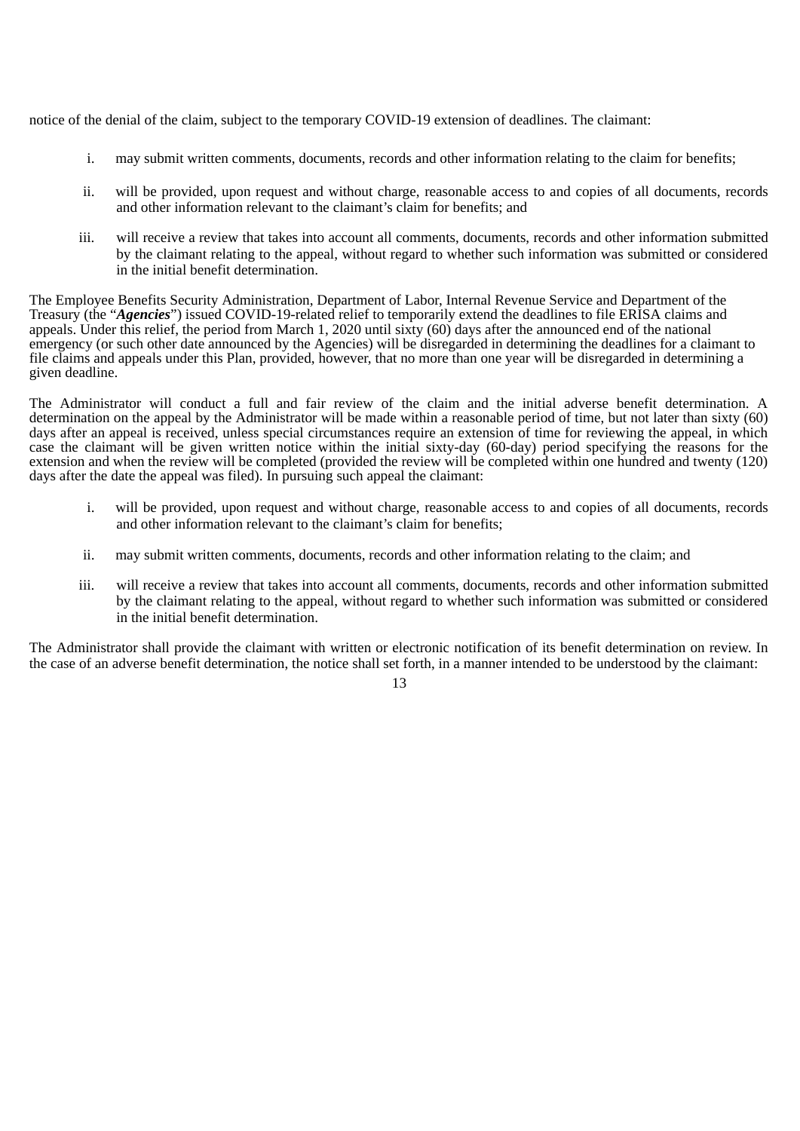notice of the denial of the claim, subject to the temporary COVID-19 extension of deadlines. The claimant:

- i. may submit written comments, documents, records and other information relating to the claim for benefits;
- ii. will be provided, upon request and without charge, reasonable access to and copies of all documents, records and other information relevant to the claimant's claim for benefits; and
- iii. will receive a review that takes into account all comments, documents, records and other information submitted by the claimant relating to the appeal, without regard to whether such information was submitted or considered in the initial benefit determination.

The Employee Benefits Security Administration, Department of Labor, Internal Revenue Service and Department of the Treasury (the "*Agencies*") issued COVID-19-related relief to temporarily extend the deadlines to file ERISA claims and appeals. Under this relief, the period from March 1, 2020 until sixty (60) days after the announced end of the national emergency (or such other date announced by the Agencies) will be disregarded in determining the deadlines for a claimant to file claims and appeals under this Plan, provided, however, that no more than one year will be disregarded in determining a given deadline.

The Administrator will conduct a full and fair review of the claim and the initial adverse benefit determination. A determination on the appeal by the Administrator will be made within a reasonable period of time, but not later than sixty (60) days after an appeal is received, unless special circumstances require an extension of time for reviewing the appeal, in which case the claimant will be given written notice within the initial sixty-day (60-day) period specifying the reasons for the extension and when the review will be completed (provided the review will be completed within one hundred and twenty (120) days after the date the appeal was filed). In pursuing such appeal the claimant:

- i. will be provided, upon request and without charge, reasonable access to and copies of all documents, records and other information relevant to the claimant's claim for benefits;
- ii. may submit written comments, documents, records and other information relating to the claim; and
- iii. will receive a review that takes into account all comments, documents, records and other information submitted by the claimant relating to the appeal, without regard to whether such information was submitted or considered in the initial benefit determination.

The Administrator shall provide the claimant with written or electronic notification of its benefit determination on review. In the case of an adverse benefit determination, the notice shall set forth, in a manner intended to be understood by the claimant: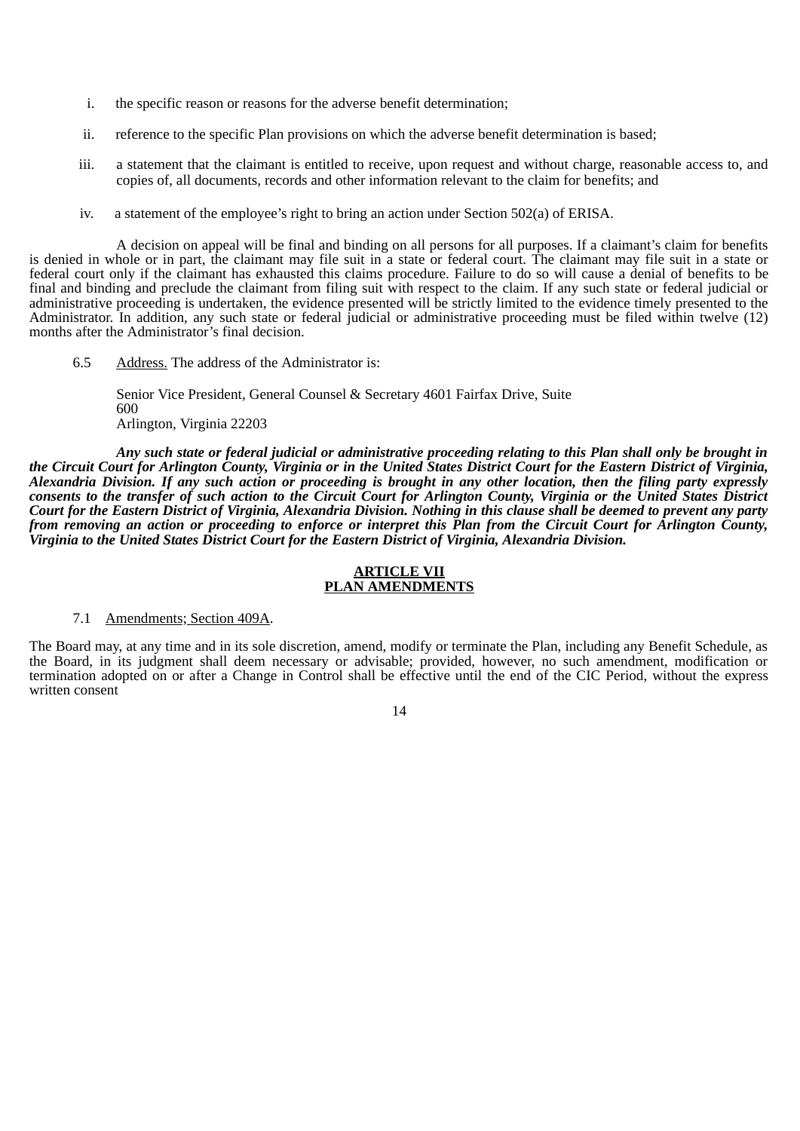- i. the specific reason or reasons for the adverse benefit determination;
- ii. reference to the specific Plan provisions on which the adverse benefit determination is based;
- iii. a statement that the claimant is entitled to receive, upon request and without charge, reasonable access to, and copies of, all documents, records and other information relevant to the claim for benefits; and
- iv. a statement of the employee's right to bring an action under Section 502(a) of ERISA.

A decision on appeal will be final and binding on all persons for all purposes. If a claimant's claim for benefits is denied in whole or in part, the claimant may file suit in a state or federal court. The claimant may file suit in a state or federal court only if the claimant has exhausted this claims procedure. Failure to do so will cause a denial of benefits to be final and binding and preclude the claimant from filing suit with respect to the claim. If any such state or federal judicial or administrative proceeding is undertaken, the evidence presented will be strictly limited to the evidence timely presented to the Administrator. In addition, any such state or federal judicial or administrative proceeding must be filed within twelve (12) months after the Administrator's final decision.

6.5 Address. The address of the Administrator is:

Senior Vice President, General Counsel & Secretary 4601 Fairfax Drive, Suite 600 Arlington, Virginia 22203

*Any such state or federal judicial or administrative proceeding relating to this Plan shall only be brought in the Circuit Court for Arlington County, Virginia or in the United States District Court for the Eastern District of Virginia, Alexandria Division. If any such action or proceeding is brought in any other location, then the filing party expressly consents to the transfer of such action to the Circuit Court for Arlington County, Virginia or the United States District Court for the Eastern District of Virginia, Alexandria Division. Nothing in this clause shall be deemed to prevent any party from removing an action or proceeding to enforce or interpret this Plan from the Circuit Court for Arlington County, Virginia to the United States District Court for the Eastern District of Virginia, Alexandria Division.*

## **ARTICLE VII PLAN AMENDMENTS**

#### 7.1 Amendments; Section 409A.

The Board may, at any time and in its sole discretion, amend, modify or terminate the Plan, including any Benefit Schedule, as the Board, in its judgment shall deem necessary or advisable; provided, however, no such amendment, modification or termination adopted on or after a Change in Control shall be effective until the end of the CIC Period, without the express written consent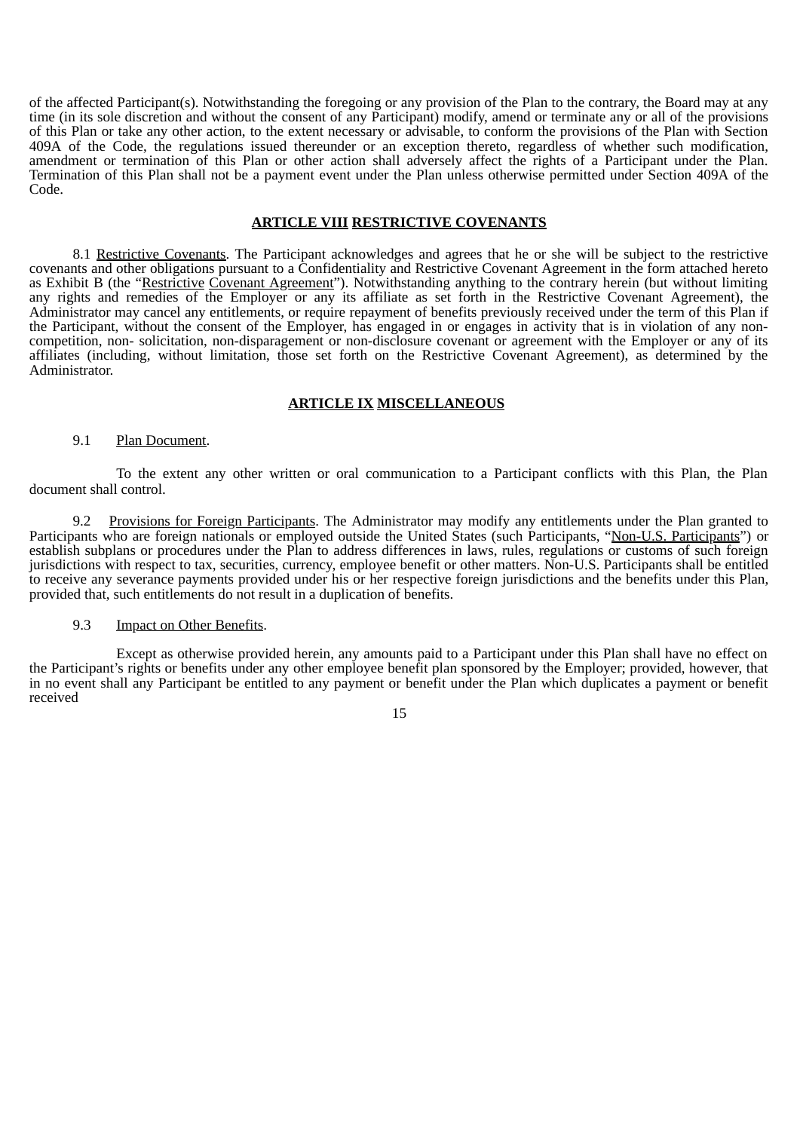of the affected Participant(s). Notwithstanding the foregoing or any provision of the Plan to the contrary, the Board may at any time (in its sole discretion and without the consent of any Participant) modify, amend or terminate any or all of the provisions of this Plan or take any other action, to the extent necessary or advisable, to conform the provisions of the Plan with Section 409A of the Code, the regulations issued thereunder or an exception thereto, regardless of whether such modification, amendment or termination of this Plan or other action shall adversely affect the rights of a Participant under the Plan. Termination of this Plan shall not be a payment event under the Plan unless otherwise permitted under Section 409A of the Code.

### **ARTICLE VIII RESTRICTIVE COVENANTS**

8.1 Restrictive Covenants. The Participant acknowledges and agrees that he or she will be subject to the restrictive covenants and other obligations pursuant to a Confidentiality and Restrictive Covenant Agreement in the form attached hereto as Exhibit B (the "Restrictive Covenant Agreement"). Notwithstanding anything to the contrary herein (but without limiting any rights and remedies of the Employer or any its affiliate as set forth in the Restrictive Covenant Agreement), the Administrator may cancel any entitlements, or require repayment of benefits previously received under the term of this Plan if the Participant, without the consent of the Employer, has engaged in or engages in activity that is in violation of any noncompetition, non- solicitation, non-disparagement or non-disclosure covenant or agreement with the Employer or any of its affiliates (including, without limitation, those set forth on the Restrictive Covenant Agreement), as determined by the Administrator.

### **ARTICLE IX MISCELLANEOUS**

#### 9.1 Plan Document.

To the extent any other written or oral communication to a Participant conflicts with this Plan, the Plan document shall control.

9.2 Provisions for Foreign Participants. The Administrator may modify any entitlements under the Plan granted to Participants who are foreign nationals or employed outside the United States (such Participants, "Non-U.S. Participants") or establish subplans or procedures under the Plan to address differences in laws, rules, regulations or customs of such foreign jurisdictions with respect to tax, securities, currency, employee benefit or other matters. Non-U.S. Participants shall be entitled to receive any severance payments provided under his or her respective foreign jurisdictions and the benefits under this Plan, provided that, such entitlements do not result in a duplication of benefits.

#### 9.3 **Impact on Other Benefits.**

Except as otherwise provided herein, any amounts paid to a Participant under this Plan shall have no effect on the Participant's rights or benefits under any other employee benefit plan sponsored by the Employer; provided, however, that in no event shall any Participant be entitled to any payment or benefit under the Plan which duplicates a payment or benefit received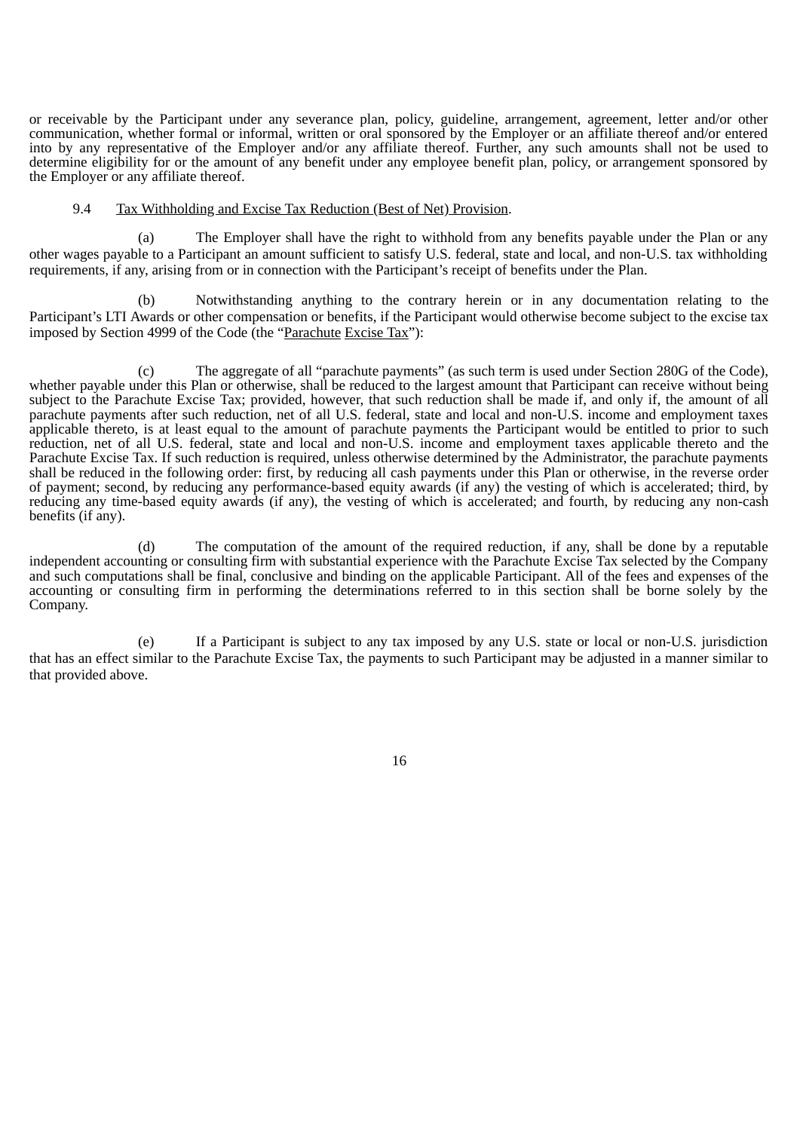or receivable by the Participant under any severance plan, policy, guideline, arrangement, agreement, letter and/or other communication, whether formal or informal, written or oral sponsored by the Employer or an affiliate thereof and/or entered into by any representative of the Employer and/or any affiliate thereof. Further, any such amounts shall not be used to determine eligibility for or the amount of any benefit under any employee benefit plan, policy, or arrangement sponsored by the Employer or any affiliate thereof.

## 9.4 Tax Withholding and Excise Tax Reduction (Best of Net) Provision.

The Employer shall have the right to withhold from any benefits payable under the Plan or any other wages payable to a Participant an amount sufficient to satisfy U.S. federal, state and local, and non-U.S. tax withholding requirements, if any, arising from or in connection with the Participant's receipt of benefits under the Plan.

(b) Notwithstanding anything to the contrary herein or in any documentation relating to the Participant's LTI Awards or other compensation or benefits, if the Participant would otherwise become subject to the excise tax imposed by Section 4999 of the Code (the "Parachute Excise Tax"):

(c) The aggregate of all "parachute payments" (as such term is used under Section 280G of the Code), whether payable under this Plan or otherwise, shall be reduced to the largest amount that Participant can receive without being subject to the Parachute Excise Tax; provided, however, that such reduction shall be made if, and only if, the amount of all parachute payments after such reduction, net of all U.S. federal, state and local and non-U.S. income and employment taxes applicable thereto, is at least equal to the amount of parachute payments the Participant would be entitled to prior to such reduction, net of all U.S. federal, state and local and non-U.S. income and employment taxes applicable thereto and the Parachute Excise Tax. If such reduction is required, unless otherwise determined by the Administrator, the parachute payments shall be reduced in the following order: first, by reducing all cash payments under this Plan or otherwise, in the reverse order of payment; second, by reducing any performance-based equity awards (if any) the vesting of which is accelerated; third, by reducing any time-based equity awards (if any), the vesting of which is accelerated; and fourth, by reducing any non-cash benefits (if any).

(d) The computation of the amount of the required reduction, if any, shall be done by a reputable independent accounting or consulting firm with substantial experience with the Parachute Excise Tax selected by the Company and such computations shall be final, conclusive and binding on the applicable Participant. All of the fees and expenses of the accounting or consulting firm in performing the determinations referred to in this section shall be borne solely by the Company.

(e) If a Participant is subject to any tax imposed by any U.S. state or local or non-U.S. jurisdiction that has an effect similar to the Parachute Excise Tax, the payments to such Participant may be adjusted in a manner similar to that provided above.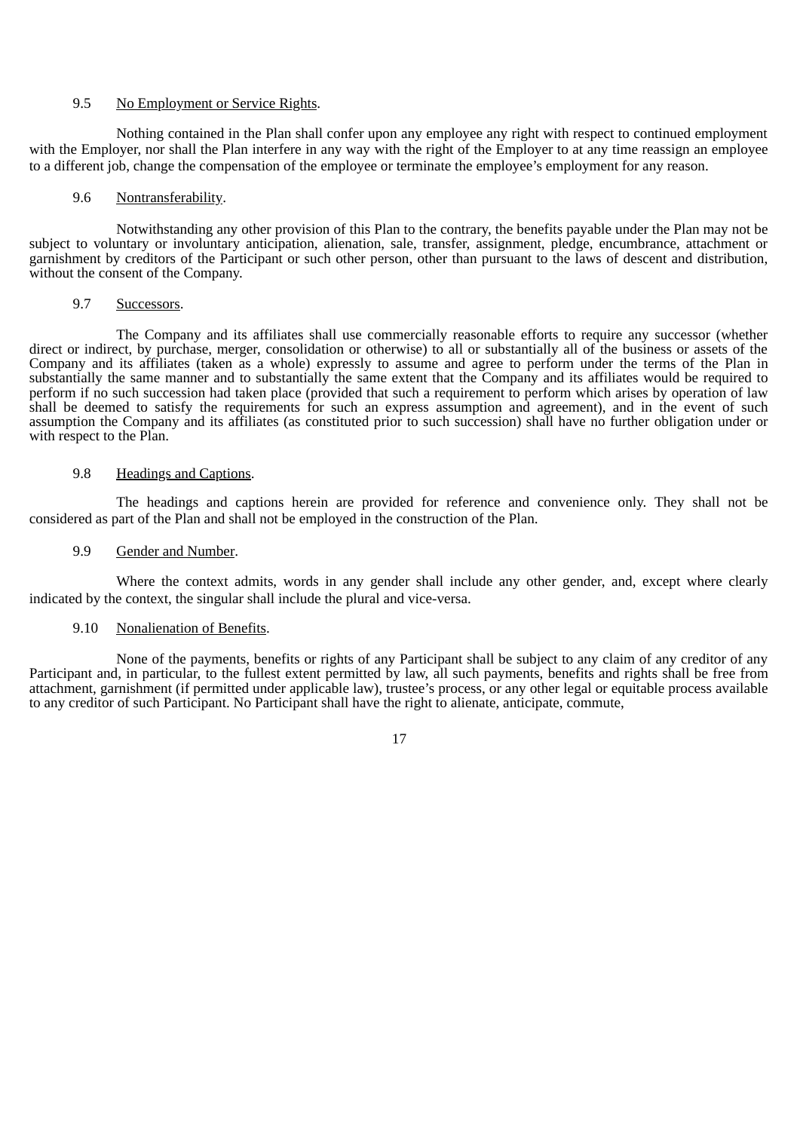## 9.5 No Employment or Service Rights.

Nothing contained in the Plan shall confer upon any employee any right with respect to continued employment with the Employer, nor shall the Plan interfere in any way with the right of the Employer to at any time reassign an employee to a different job, change the compensation of the employee or terminate the employee's employment for any reason.

## 9.6 Nontransferability.

Notwithstanding any other provision of this Plan to the contrary, the benefits payable under the Plan may not be subject to voluntary or involuntary anticipation, alienation, sale, transfer, assignment, pledge, encumbrance, attachment or garnishment by creditors of the Participant or such other person, other than pursuant to the laws of descent and distribution, without the consent of the Company.

## 9.7 Successors.

The Company and its affiliates shall use commercially reasonable efforts to require any successor (whether direct or indirect, by purchase, merger, consolidation or otherwise) to all or substantially all of the business or assets of the Company and its affiliates (taken as a whole) expressly to assume and agree to perform under the terms of the Plan in substantially the same manner and to substantially the same extent that the Company and its affiliates would be required to perform if no such succession had taken place (provided that such a requirement to perform which arises by operation of law shall be deemed to satisfy the requirements for such an express assumption and agreement), and in the event of such assumption the Company and its affiliates (as constituted prior to such succession) shall have no further obligation under or with respect to the Plan.

#### 9.8 **Headings and Captions.**

The headings and captions herein are provided for reference and convenience only. They shall not be considered as part of the Plan and shall not be employed in the construction of the Plan.

## 9.9 Gender and Number.

Where the context admits, words in any gender shall include any other gender, and, except where clearly indicated by the context, the singular shall include the plural and vice-versa.

#### 9.10 Nonalienation of Benefits.

None of the payments, benefits or rights of any Participant shall be subject to any claim of any creditor of any Participant and, in particular, to the fullest extent permitted by law, all such payments, benefits and rights shall be free from attachment, garnishment (if permitted under applicable law), trustee's process, or any other legal or equitable process available to any creditor of such Participant. No Participant shall have the right to alienate, anticipate, commute,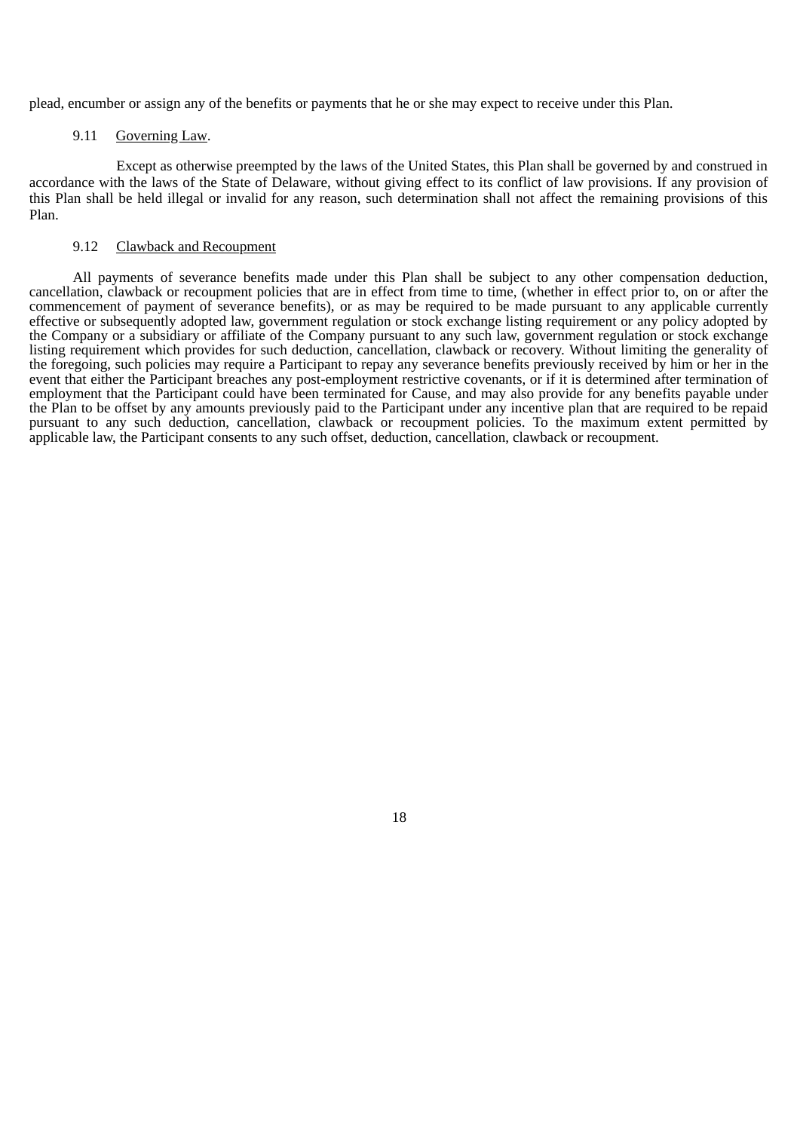plead, encumber or assign any of the benefits or payments that he or she may expect to receive under this Plan.

#### 9.11 Governing Law.

Except as otherwise preempted by the laws of the United States, this Plan shall be governed by and construed in accordance with the laws of the State of Delaware, without giving effect to its conflict of law provisions. If any provision of this Plan shall be held illegal or invalid for any reason, such determination shall not affect the remaining provisions of this Plan.

## 9.12 Clawback and Recoupment

All payments of severance benefits made under this Plan shall be subject to any other compensation deduction, cancellation, clawback or recoupment policies that are in effect from time to time, (whether in effect prior to, on or after the commencement of payment of severance benefits), or as may be required to be made pursuant to any applicable currently effective or subsequently adopted law, government regulation or stock exchange listing requirement or any policy adopted by the Company or a subsidiary or affiliate of the Company pursuant to any such law, government regulation or stock exchange listing requirement which provides for such deduction, cancellation, clawback or recovery. Without limiting the generality of the foregoing, such policies may require a Participant to repay any severance benefits previously received by him or her in the event that either the Participant breaches any post-employment restrictive covenants, or if it is determined after termination of employment that the Participant could have been terminated for Cause, and may also provide for any benefits payable under the Plan to be offset by any amounts previously paid to the Participant under any incentive plan that are required to be repaid pursuant to any such deduction, cancellation, clawback or recoupment policies. To the maximum extent permitted by applicable law, the Participant consents to any such offset, deduction, cancellation, clawback or recoupment.

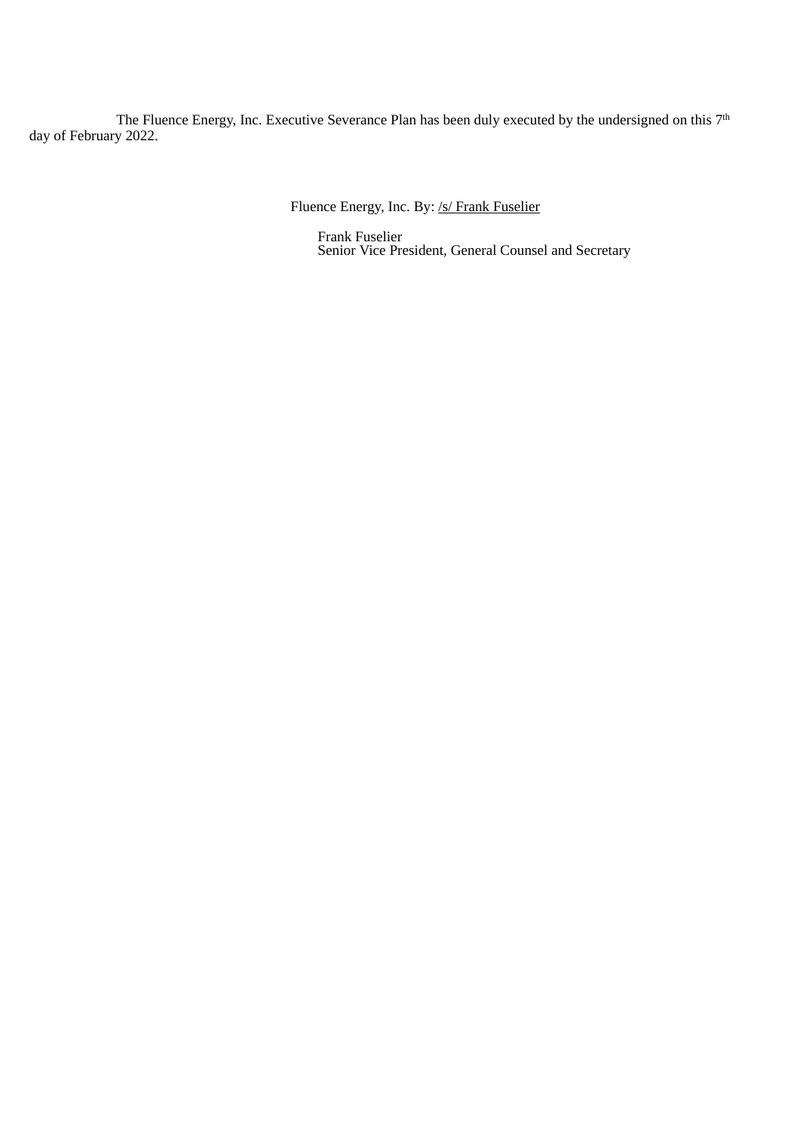The Fluence Energy, Inc. Executive Severance Plan has been duly executed by the undersigned on this  $7<sup>t</sup>$ day of February 2022. th

Fluence Energy, Inc. By: /s/ Frank Fuselier

Frank Fuselier Senior Vice President, General Counsel and Secretary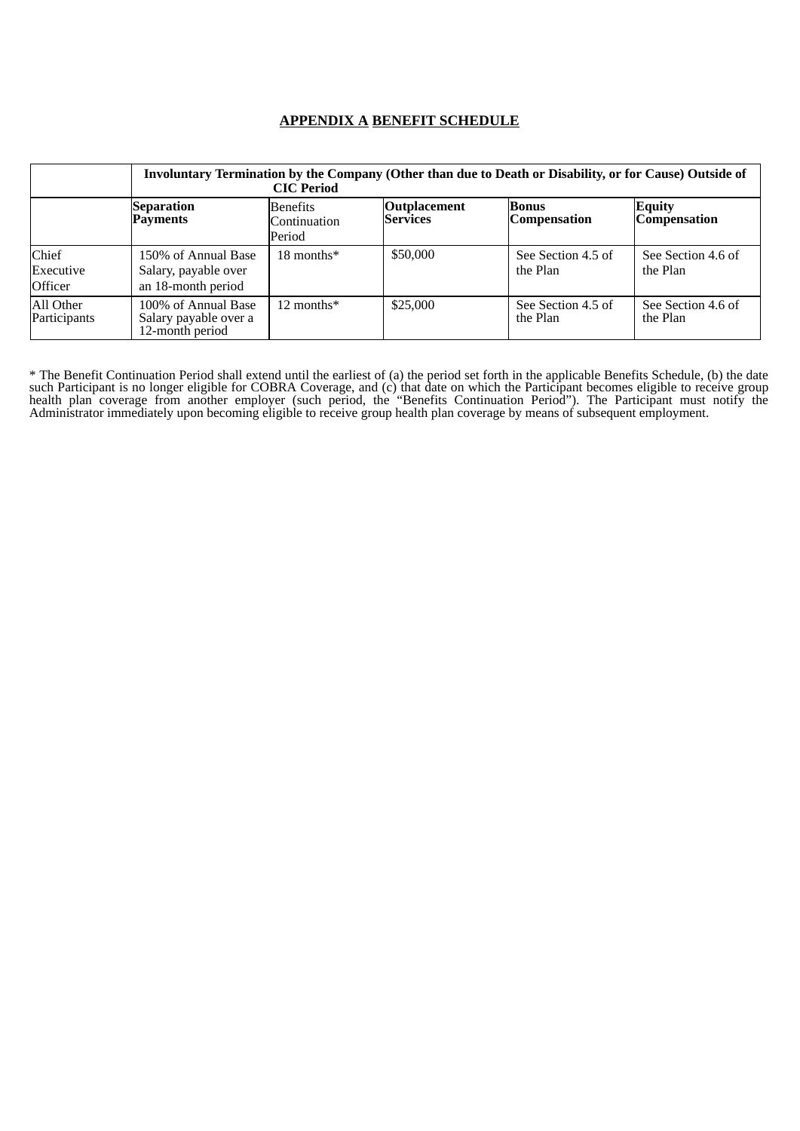# **APPENDIX A BENEFIT SCHEDULE**

|                                      | Involuntary Termination by the Company (Other than due to Death or Disability, or for Cause) Outside of<br><b>CIC</b> Period |                                           |                                        |                                     |                                      |
|--------------------------------------|------------------------------------------------------------------------------------------------------------------------------|-------------------------------------------|----------------------------------------|-------------------------------------|--------------------------------------|
|                                      | <b>Separation</b><br><b>Payments</b>                                                                                         | <b>Benefits</b><br>Continuation<br>Period | <b>Outplacement</b><br><b>Services</b> | <b>Bonus</b><br><b>Compensation</b> | <b>Equity</b><br><b>Compensation</b> |
| Chief<br>Executive<br><b>Officer</b> | 150% of Annual Base<br>Salary, payable over<br>an 18-month period                                                            | $18$ months*                              | \$50,000                               | See Section 4.5 of<br>the Plan      | See Section 4.6 of<br>the Plan       |
| All Other<br>Participants            | 100% of Annual Base<br>Salary payable over a<br>12-month period                                                              | 12 months $*$                             | \$25,000                               | See Section 4.5 of<br>the Plan      | See Section 4.6 of<br>the Plan       |

\* The Benefit Continuation Period shall extend until the earliest of (a) the period set forth in the applicable Benefits Schedule, (b) the date such Participant is no longer eligible for COBRA Coverage, and (c) that date on which the Participant becomes eligible to receive group health plan coverage from another employer (such period, the "Benefits Continuation Period"). The Participant must notify the Administrator immediately upon becoming eligible to receive group health plan coverage by means of subsequent employment.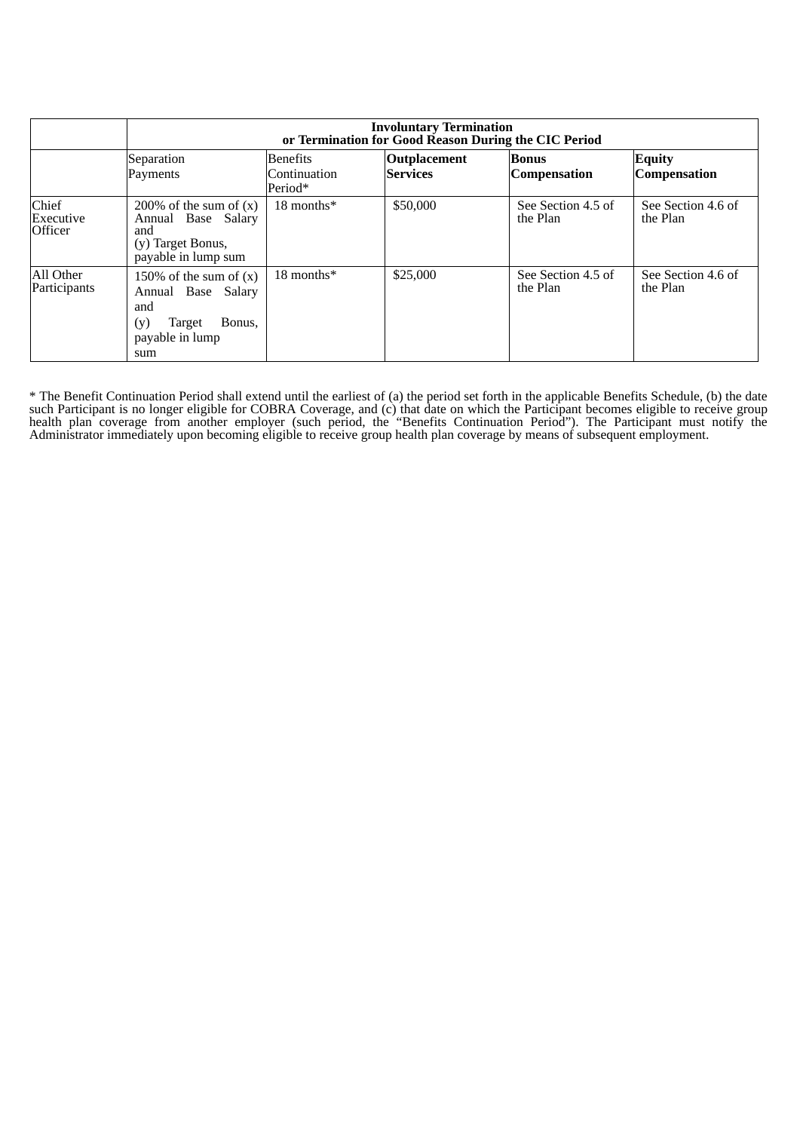|                                      | <b>Involuntary Termination</b><br>or Termination for Good Reason During the CIC Period                     |                                            |                                        |                                |                                |
|--------------------------------------|------------------------------------------------------------------------------------------------------------|--------------------------------------------|----------------------------------------|--------------------------------|--------------------------------|
|                                      | Separation<br>Payments                                                                                     | <b>Benefits</b><br>Continuation<br>Period* | <b>Outplacement</b><br><b>Services</b> | Bonus<br><b>Compensation</b>   | <b>Equity</b><br>Compensation  |
| Chief<br>Executive<br><b>Officer</b> | 200% of the sum of $(x)$<br>Annual Base Salary<br>and<br>(y) Target Bonus,<br>payable in lump sum          | 18 months*                                 | \$50,000                               | See Section 4.5 of<br>the Plan | See Section 4.6 of<br>the Plan |
| All Other<br>Participants            | 150% of the sum of $(x)$<br>Annual Base Salary<br>and<br>Bonus,<br>(y)<br>Target<br>payable in lump<br>sum | 18 months*                                 | \$25,000                               | See Section 4.5 of<br>the Plan | See Section 4.6 of<br>the Plan |

\* The Benefit Continuation Period shall extend until the earliest of (a) the period set forth in the applicable Benefits Schedule, (b) the date such Participant is no longer eligible for COBRA Coverage, and (c) that date on which the Participant becomes eligible to receive group health plan coverage from another employer (such period, the "Benefits Continuation Period"). The Participant must notify the Administrator immediately upon becoming eligible to receive group health plan coverage by means of subsequent employment.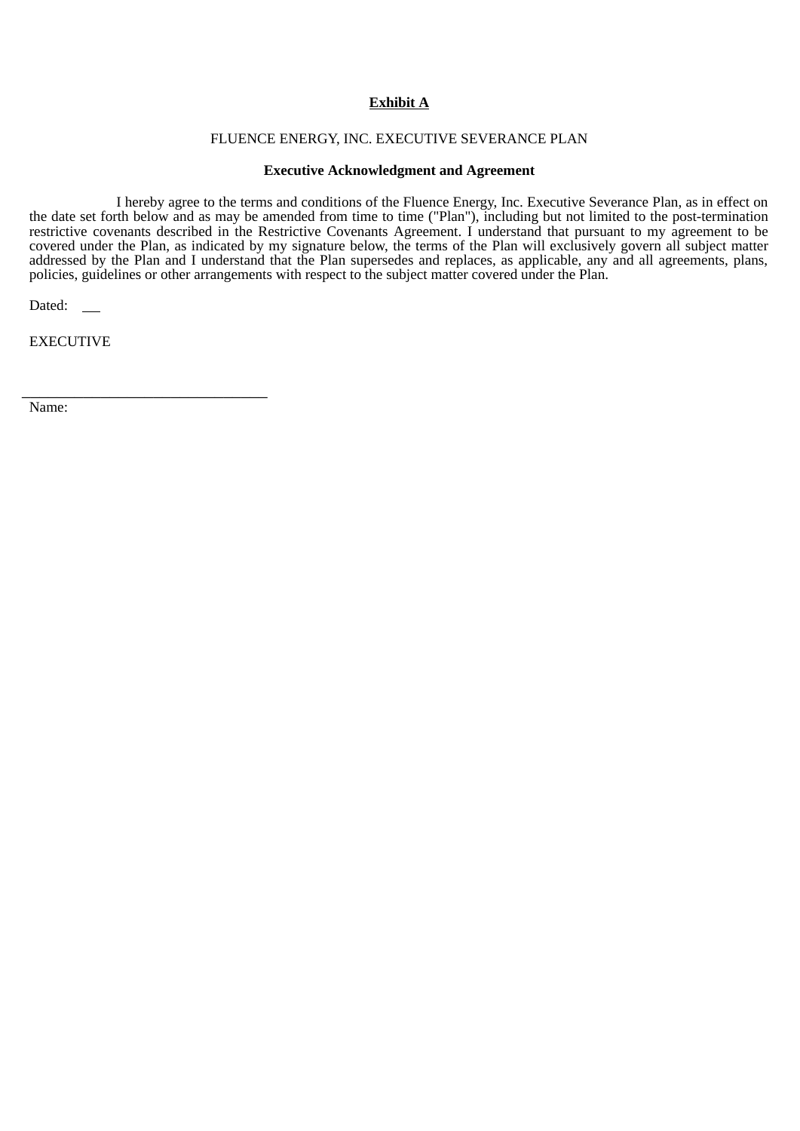# **Exhibit A**

## FLUENCE ENERGY, INC. EXECUTIVE SEVERANCE PLAN

## **Executive Acknowledgment and Agreement**

I hereby agree to the terms and conditions of the Fluence Energy, Inc. Executive Severance Plan, as in effect on the date set forth below and as may be amended from time to time ("Plan"), including but not limited to the post-termination restrictive covenants described in the Restrictive Covenants Agreement. I understand that pursuant to my agreement to be covered under the Plan, as indicated by my signature below, the terms of the Plan will exclusively govern all subject matter addressed by the Plan and I understand that the Plan supersedes and replaces, as applicable, any and all agreements, plans, policies, guidelines or other arrangements with respect to the subject matter covered under the Plan.

Dated: \_\_

EXECUTIVE

\_\_\_\_\_\_\_\_\_\_\_\_\_\_\_\_\_\_\_\_\_\_\_\_\_\_\_\_

Name: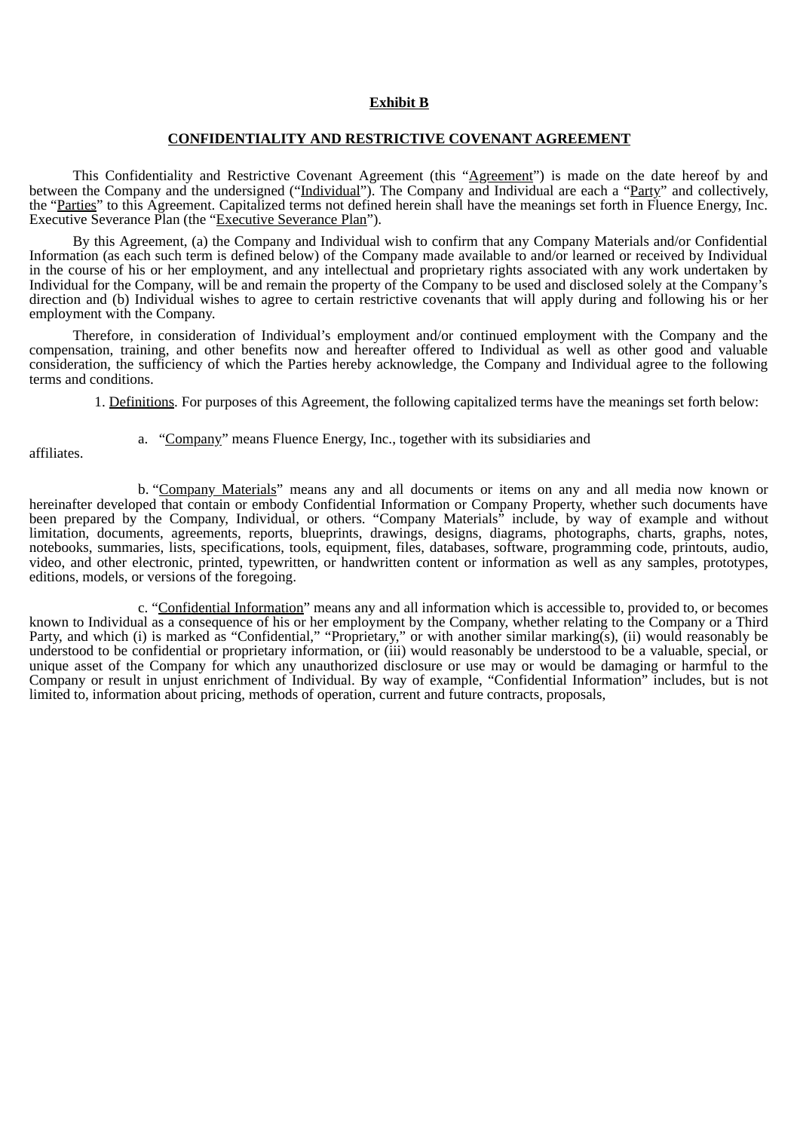## **Exhibit B**

## **CONFIDENTIALITY AND RESTRICTIVE COVENANT AGREEMENT**

This Confidentiality and Restrictive Covenant Agreement (this "Agreement") is made on the date hereof by and between the Company and the undersigned ("Individual"). The Company and Individual are each a "Party" and collectively, the "Parties" to this Agreement. Capitalized terms not defined herein shall have the meanings set forth in Fluence Energy, Inc. Executive Severance Plan (the "Executive Severance Plan").

By this Agreement, (a) the Company and Individual wish to confirm that any Company Materials and/or Confidential Information (as each such term is defined below) of the Company made available to and/or learned or received by Individual in the course of his or her employment, and any intellectual and proprietary rights associated with any work undertaken by Individual for the Company, will be and remain the property of the Company to be used and disclosed solely at the Company's direction and (b) Individual wishes to agree to certain restrictive covenants that will apply during and following his or her employment with the Company.

Therefore, in consideration of Individual's employment and/or continued employment with the Company and the compensation, training, and other benefits now and hereafter offered to Individual as well as other good and valuable consideration, the sufficiency of which the Parties hereby acknowledge, the Company and Individual agree to the following terms and conditions.

1. Definitions. For purposes of this Agreement, the following capitalized terms have the meanings set forth below:

affiliates.

a. "Company" means Fluence Energy, Inc., together with its subsidiaries and

b. "Company Materials" means any and all documents or items on any and all media now known or hereinafter developed that contain or embody Confidential Information or Company Property, whether such documents have been prepared by the Company, Individual, or others. "Company Materials" include, by way of example and without limitation, documents, agreements, reports, blueprints, drawings, designs, diagrams, photographs, charts, graphs, notes, notebooks, summaries, lists, specifications, tools, equipment, files, databases, software, programming code, printouts, audio, video, and other electronic, printed, typewritten, or handwritten content or information as well as any samples, prototypes, editions, models, or versions of the foregoing.

c. "Confidential Information" means any and all information which is accessible to, provided to, or becomes known to Individual as a consequence of his or her employment by the Company, whether relating to the Company or a Third Party, and which (i) is marked as "Confidential," "Proprietary," or with another similar marking(s), (ii) would reasonably be understood to be confidential or proprietary information, or (iii) would reasonably be understood to be a valuable, special, or unique asset of the Company for which any unauthorized disclosure or use may or would be damaging or harmful to the Company or result in unjust enrichment of Individual. By way of example, "Confidential Information" includes, but is not limited to, information about pricing, methods of operation, current and future contracts, proposals,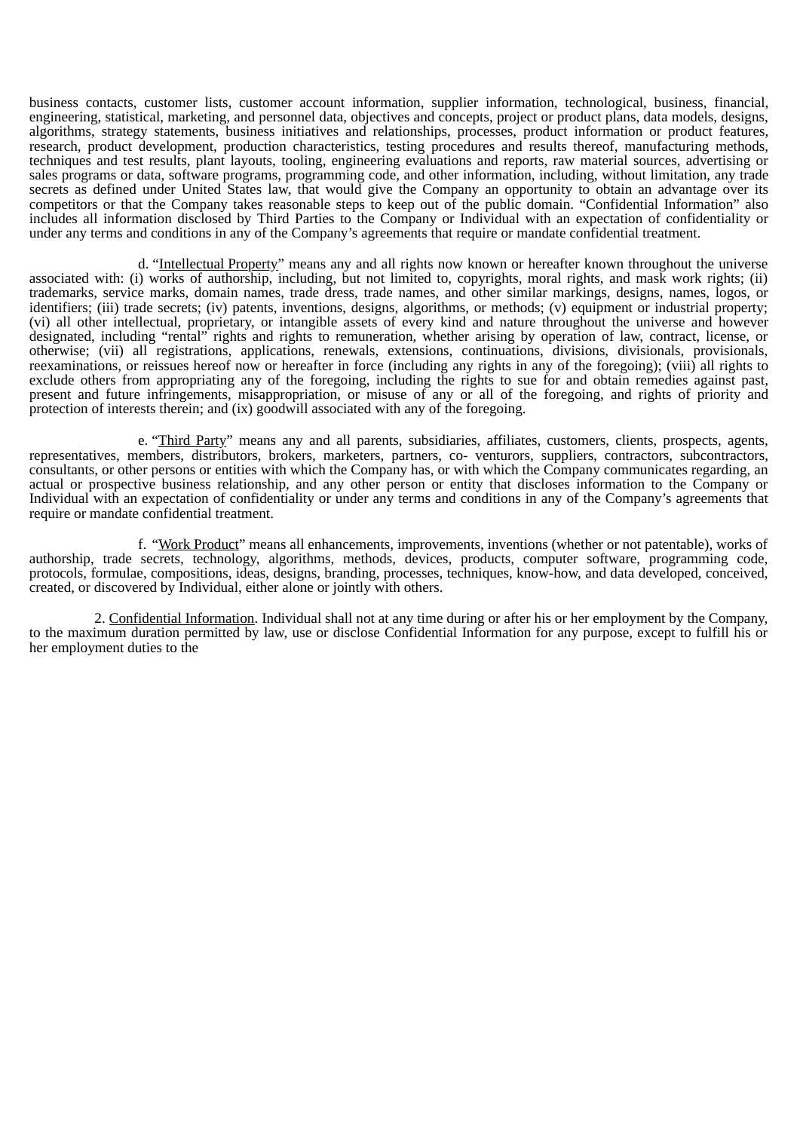business contacts, customer lists, customer account information, supplier information, technological, business, financial, engineering, statistical, marketing, and personnel data, objectives and concepts, project or product plans, data models, designs, algorithms, strategy statements, business initiatives and relationships, processes, product information or product features, research, product development, production characteristics, testing procedures and results thereof, manufacturing methods, techniques and test results, plant layouts, tooling, engineering evaluations and reports, raw material sources, advertising or sales programs or data, software programs, programming code, and other information, including, without limitation, any trade secrets as defined under United States law, that would give the Company an opportunity to obtain an advantage over its competitors or that the Company takes reasonable steps to keep out of the public domain. "Confidential Information" also includes all information disclosed by Third Parties to the Company or Individual with an expectation of confidentiality or under any terms and conditions in any of the Company's agreements that require or mandate confidential treatment.

d. "Intellectual Property" means any and all rights now known or hereafter known throughout the universe associated with: (i) works of authorship, including, but not limited to, copyrights, moral rights, and mask work rights; (ii) trademarks, service marks, domain names, trade dress, trade names, and other similar markings, designs, names, logos, or identifiers; (iii) trade secrets; (iv) patents, inventions, designs, algorithms, or methods; (v) equipment or industrial property; (vi) all other intellectual, proprietary, or intangible assets of every kind and nature throughout the universe and however designated, including "rental" rights and rights to remuneration, whether arising by operation of law, contract, license, or otherwise; (vii) all registrations, applications, renewals, extensions, continuations, divisions, divisionals, provisionals, reexaminations, or reissues hereof now or hereafter in force (including any rights in any of the foregoing); (viii) all rights to exclude others from appropriating any of the foregoing, including the rights to sue for and obtain remedies against past, present and future infringements, misappropriation, or misuse of any or all of the foregoing, and rights of priority and protection of interests therein; and (ix) goodwill associated with any of the foregoing.

e. "Third Party" means any and all parents, subsidiaries, affiliates, customers, clients, prospects, agents, representatives, members, distributors, brokers, marketers, partners, co- venturors, suppliers, contractors, subcontractors, consultants, or other persons or entities with which the Company has, or with which the Company communicates regarding, an actual or prospective business relationship, and any other person or entity that discloses information to the Company or Individual with an expectation of confidentiality or under any terms and conditions in any of the Company's agreements that require or mandate confidential treatment.

f. "Work Product" means all enhancements, improvements, inventions (whether or not patentable), works of authorship, trade secrets, technology, algorithms, methods, devices, products, computer software, programming code, protocols, formulae, compositions, ideas, designs, branding, processes, techniques, know-how, and data developed, conceived, created, or discovered by Individual, either alone or jointly with others.

2. Confidential Information. Individual shall not at any time during or after his or her employment by the Company, to the maximum duration permitted by law, use or disclose Confidential Information for any purpose, except to fulfill his or her employment duties to the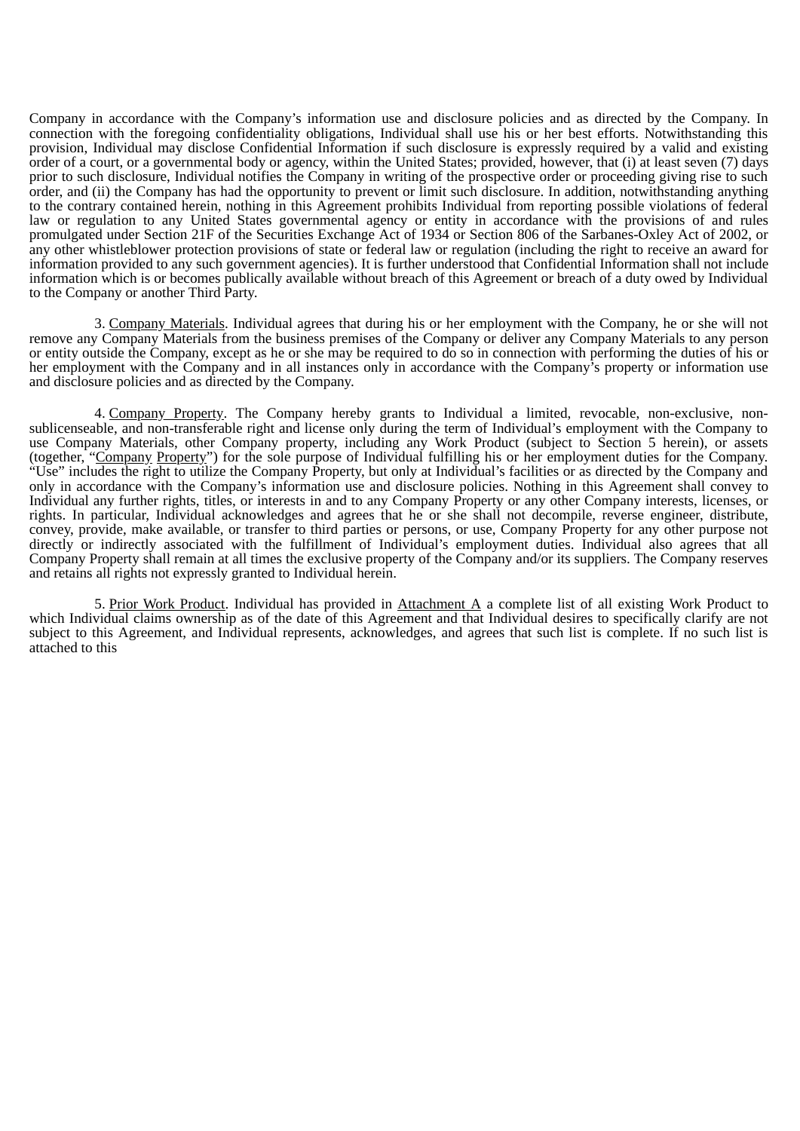Company in accordance with the Company's information use and disclosure policies and as directed by the Company. In connection with the foregoing confidentiality obligations, Individual shall use his or her best efforts. Notwithstanding this provision, Individual may disclose Confidential Information if such disclosure is expressly required by a valid and existing order of a court, or a governmental body or agency, within the United States; provided, however, that (i) at least seven (7) days prior to such disclosure, Individual notifies the Company in writing of the prospective order or proceeding giving rise to such order, and (ii) the Company has had the opportunity to prevent or limit such disclosure. In addition, notwithstanding anything to the contrary contained herein, nothing in this Agreement prohibits Individual from reporting possible violations of federal law or regulation to any United States governmental agency or entity in accordance with the provisions of and rules promulgated under Section 21F of the Securities Exchange Act of 1934 or Section 806 of the Sarbanes-Oxley Act of 2002, or any other whistleblower protection provisions of state or federal law or regulation (including the right to receive an award for information provided to any such government agencies). It is further understood that Confidential Information shall not include information which is or becomes publically available without breach of this Agreement or breach of a duty owed by Individual to the Company or another Third Party.

3. Company Materials. Individual agrees that during his or her employment with the Company, he or she will not remove any Company Materials from the business premises of the Company or deliver any Company Materials to any person or entity outside the Company, except as he or she may be required to do so in connection with performing the duties of his or her employment with the Company and in all instances only in accordance with the Company's property or information use and disclosure policies and as directed by the Company.

4. Company Property. The Company hereby grants to Individual a limited, revocable, non-exclusive, nonsublicenseable, and non-transferable right and license only during the term of Individual's employment with the Company to use Company Materials, other Company property, including any Work Product (subject to Section 5 herein), or assets (together, "Company Property") for the sole purpose of Individual fulfilling his or her employment duties for the Company. "Use" includes the right to utilize the Company Property, but only at Individual's facilities or as directed by the Company and only in accordance with the Company's information use and disclosure policies. Nothing in this Agreement shall convey to Individual any further rights, titles, or interests in and to any Company Property or any other Company interests, licenses, or rights. In particular, Individual acknowledges and agrees that he or she shall not decompile, reverse engineer, distribute, convey, provide, make available, or transfer to third parties or persons, or use, Company Property for any other purpose not directly or indirectly associated with the fulfillment of Individual's employment duties. Individual also agrees that all Company Property shall remain at all times the exclusive property of the Company and/or its suppliers. The Company reserves and retains all rights not expressly granted to Individual herein.

5. Prior Work Product. Individual has provided in Attachment A a complete list of all existing Work Product to which Individual claims ownership as of the date of this Agreement and that Individual desires to specifically clarify are not subject to this Agreement, and Individual represents, acknowledges, and agrees that such list is complete. If no such list is attached to this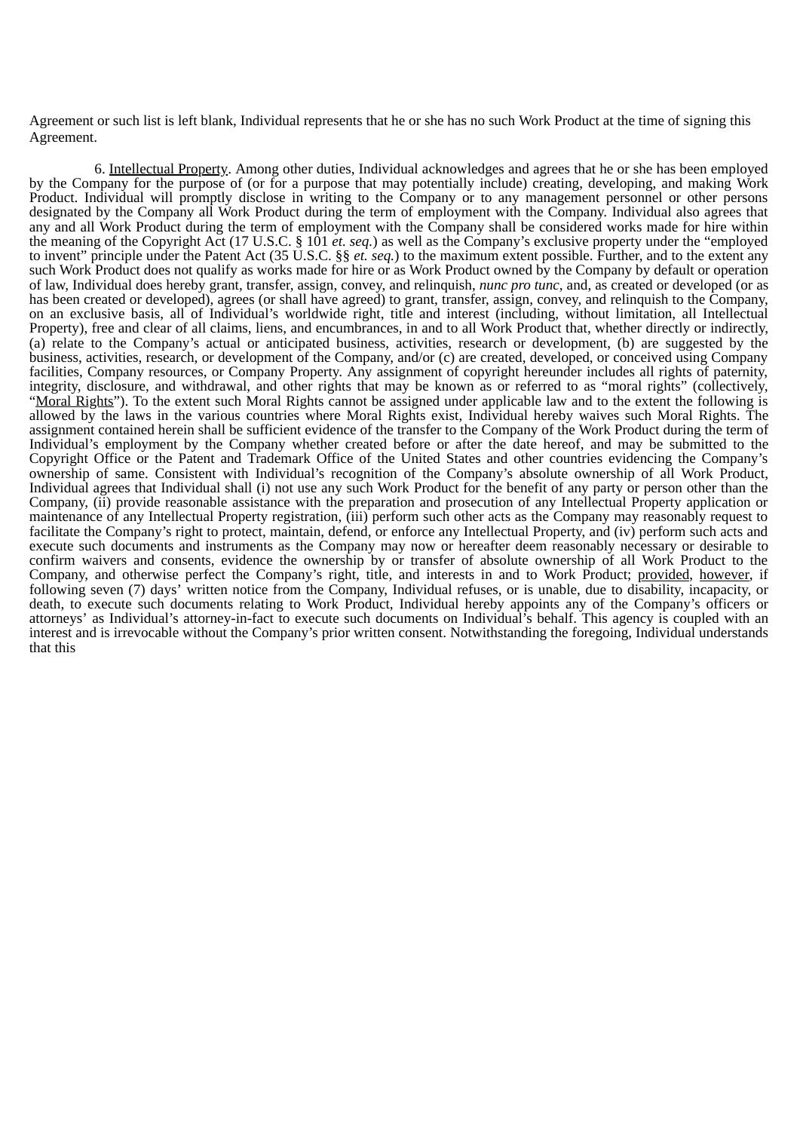Agreement or such list is left blank, Individual represents that he or she has no such Work Product at the time of signing this Agreement.

6. Intellectual Property. Among other duties, Individual acknowledges and agrees that he or she has been employed by the Company for the purpose of (or for a purpose that may potentially include) creating, developing, and making Work Product. Individual will promptly disclose in writing to the Company or to any management personnel or other persons designated by the Company all Work Product during the term of employment with the Company. Individual also agrees that any and all Work Product during the term of employment with the Company shall be considered works made for hire within the meaning of the Copyright Act (17 U.S.C. § 101 *et. seq.*) as well as the Company's exclusive property under the "employed to invent" principle under the Patent Act (35 U.S.C. §§ *et. seq.*) to the maximum extent possible. Further, and to the extent any such Work Product does not qualify as works made for hire or as Work Product owned by the Company by default or operation of law, Individual does hereby grant, transfer, assign, convey, and relinquish, *nunc pro tunc*, and, as created or developed (or as has been created or developed), agrees (or shall have agreed) to grant, transfer, assign, convey, and relinquish to the Company, on an exclusive basis, all of Individual's worldwide right, title and interest (including, without limitation, all Intellectual Property), free and clear of all claims, liens, and encumbrances, in and to all Work Product that, whether directly or indirectly, (a) relate to the Company's actual or anticipated business, activities, research or development, (b) are suggested by the business, activities, research, or development of the Company, and/or (c) are created, developed, or conceived using Company facilities, Company resources, or Company Property. Any assignment of copyright hereunder includes all rights of paternity, integrity, disclosure, and withdrawal, and other rights that may be known as or referred to as "moral rights" (collectively, "Moral Rights"). To the extent such Moral Rights cannot be assigned under applicable law and to the extent the following is allowed by the laws in the various countries where Moral Rights exist, Individual hereby waives such Moral Rights. The assignment contained herein shall be sufficient evidence of the transfer to the Company of the Work Product during the term of Individual's employment by the Company whether created before or after the date hereof, and may be submitted to the Copyright Office or the Patent and Trademark Office of the United States and other countries evidencing the Company's ownership of same. Consistent with Individual's recognition of the Company's absolute ownership of all Work Product, Individual agrees that Individual shall (i) not use any such Work Product for the benefit of any party or person other than the Company, (ii) provide reasonable assistance with the preparation and prosecution of any Intellectual Property application or maintenance of any Intellectual Property registration, (iii) perform such other acts as the Company may reasonably request to facilitate the Company's right to protect, maintain, defend, or enforce any Intellectual Property, and (iv) perform such acts and execute such documents and instruments as the Company may now or hereafter deem reasonably necessary or desirable to confirm waivers and consents, evidence the ownership by or transfer of absolute ownership of all Work Product to the Company, and otherwise perfect the Company's right, title, and interests in and to Work Product; provided, however, if following seven (7) days' written notice from the Company, Individual refuses, or is unable, due to disability, incapacity, or death, to execute such documents relating to Work Product, Individual hereby appoints any of the Company's officers or attorneys' as Individual's attorney-in-fact to execute such documents on Individual's behalf. This agency is coupled with an interest and is irrevocable without the Company's prior written consent. Notwithstanding the foregoing, Individual understands that this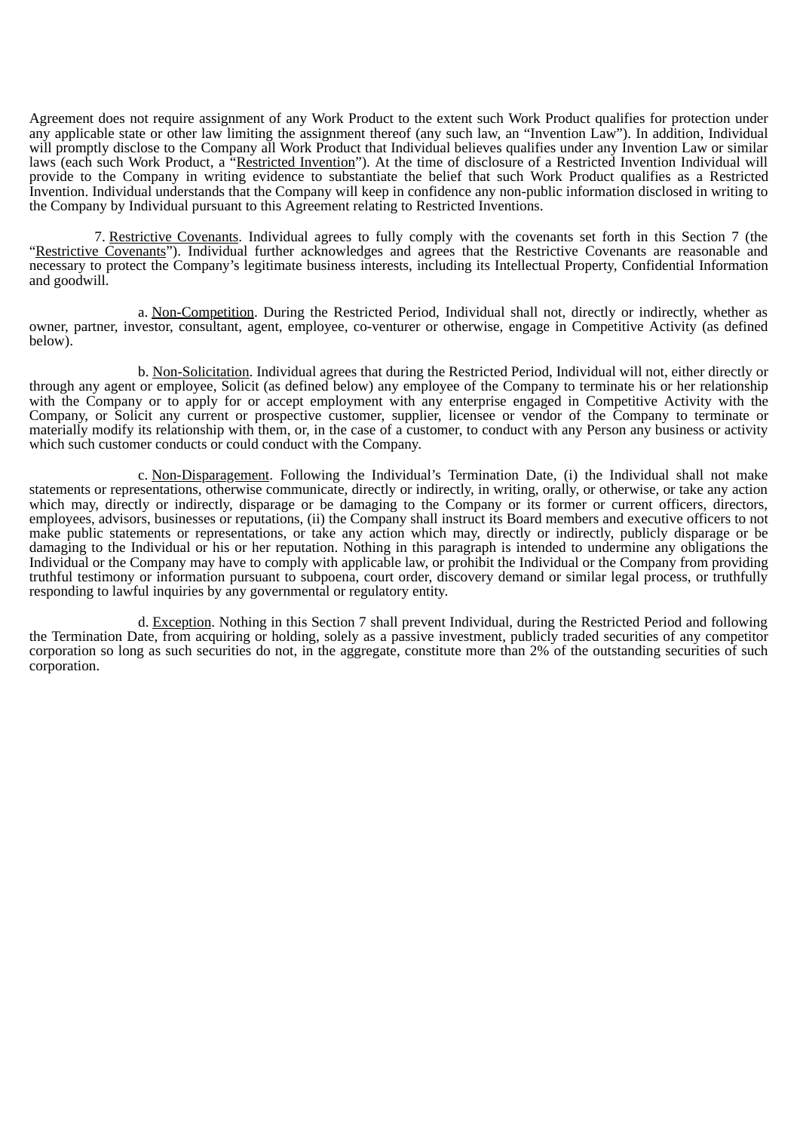Agreement does not require assignment of any Work Product to the extent such Work Product qualifies for protection under any applicable state or other law limiting the assignment thereof (any such law, an "Invention Law"). In addition, Individual will promptly disclose to the Company all Work Product that Individual believes qualifies under any Invention Law or similar laws (each such Work Product, a "Restricted Invention"). At the time of disclosure of a Restricted Invention Individual will provide to the Company in writing evidence to substantiate the belief that such Work Product qualifies as a Restricted Invention. Individual understands that the Company will keep in confidence any non-public information disclosed in writing to the Company by Individual pursuant to this Agreement relating to Restricted Inventions.

7. Restrictive Covenants. Individual agrees to fully comply with the covenants set forth in this Section 7 (the "Restrictive Covenants"). Individual further acknowledges and agrees that the Restrictive Covenants are reasonable and necessary to protect the Company's legitimate business interests, including its Intellectual Property, Confidential Information and goodwill.

a. Non-Competition. During the Restricted Period, Individual shall not, directly or indirectly, whether as owner, partner, investor, consultant, agent, employee, co-venturer or otherwise, engage in Competitive Activity (as defined below).

b. Non-Solicitation. Individual agrees that during the Restricted Period, Individual will not, either directly or through any agent or employee, Solicit (as defined below) any employee of the Company to terminate his or her relationship with the Company or to apply for or accept employment with any enterprise engaged in Competitive Activity with the Company, or Solicit any current or prospective customer, supplier, licensee or vendor of the Company to terminate or materially modify its relationship with them, or, in the case of a customer, to conduct with any Person any business or activity which such customer conducts or could conduct with the Company.

c. Non-Disparagement. Following the Individual's Termination Date, (i) the Individual shall not make statements or representations, otherwise communicate, directly or indirectly, in writing, orally, or otherwise, or take any action which may, directly or indirectly, disparage or be damaging to the Company or its former or current officers, directors, employees, advisors, businesses or reputations, (ii) the Company shall instruct its Board members and executive officers to not make public statements or representations, or take any action which may, directly or indirectly, publicly disparage or be damaging to the Individual or his or her reputation. Nothing in this paragraph is intended to undermine any obligations the Individual or the Company may have to comply with applicable law, or prohibit the Individual or the Company from providing truthful testimony or information pursuant to subpoena, court order, discovery demand or similar legal process, or truthfully responding to lawful inquiries by any governmental or regulatory entity.

d. Exception. Nothing in this Section 7 shall prevent Individual, during the Restricted Period and following the Termination Date, from acquiring or holding, solely as a passive investment, publicly traded securities of any competitor corporation so long as such securities do not, in the aggregate, constitute more than 2% of the outstanding securities of such corporation.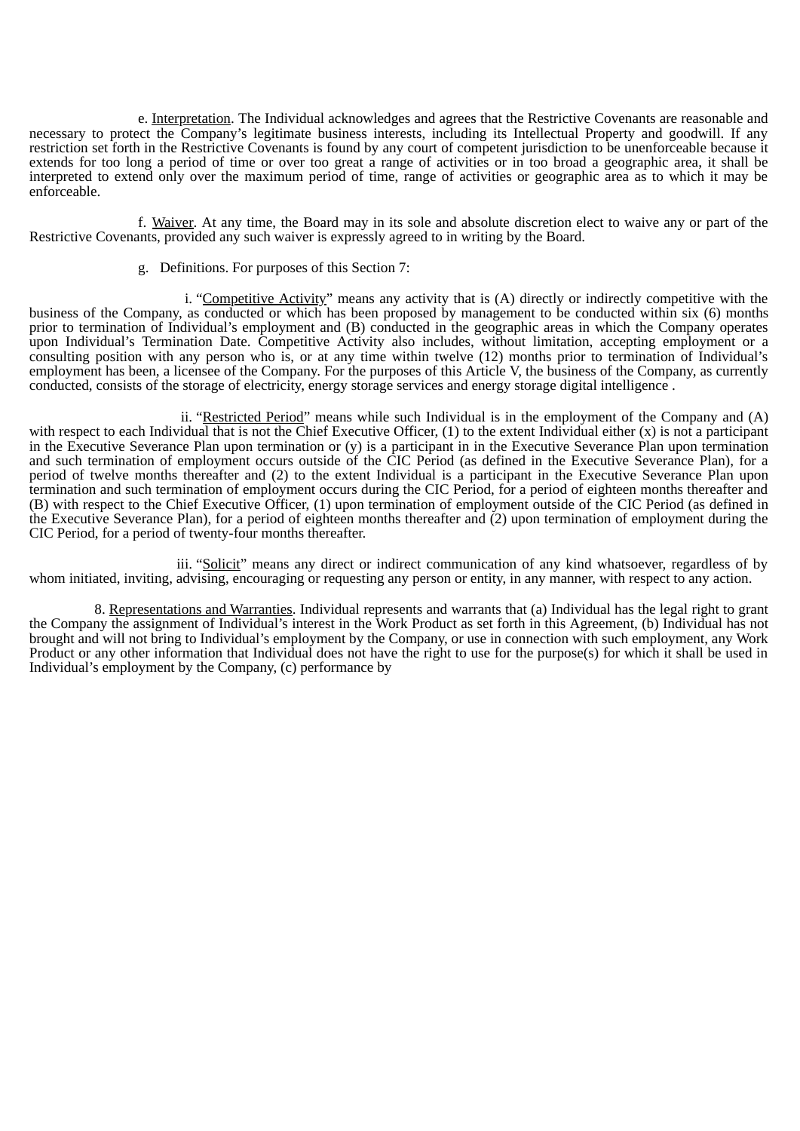e. Interpretation. The Individual acknowledges and agrees that the Restrictive Covenants are reasonable and necessary to protect the Company's legitimate business interests, including its Intellectual Property and goodwill. If any restriction set forth in the Restrictive Covenants is found by any court of competent jurisdiction to be unenforceable because it extends for too long a period of time or over too great a range of activities or in too broad a geographic area, it shall be interpreted to extend only over the maximum period of time, range of activities or geographic area as to which it may be enforceable.

f. Waiver. At any time, the Board may in its sole and absolute discretion elect to waive any or part of the Restrictive Covenants, provided any such waiver is expressly agreed to in writing by the Board.

g. Definitions. For purposes of this Section 7:

i. "Competitive Activity" means any activity that is (A) directly or indirectly competitive with the business of the Company, as conducted or which has been proposed by management to be conducted within six (6) months prior to termination of Individual's employment and (B) conducted in the geographic areas in which the Company operates upon Individual's Termination Date. Competitive Activity also includes, without limitation, accepting employment or a consulting position with any person who is, or at any time within twelve (12) months prior to termination of Individual's employment has been, a licensee of the Company. For the purposes of this Article V, the business of the Company, as currently conducted, consists of the storage of electricity, energy storage services and energy storage digital intelligence .

ii. "Restricted Period" means while such Individual is in the employment of the Company and  $(A)$ with respect to each Individual that is not the Chief Executive Officer,  $(1)$  to the extent Individual either  $(x)$  is not a participant in the Executive Severance Plan upon termination or (y) is a participant in in the Executive Severance Plan upon termination and such termination of employment occurs outside of the CIC Period (as defined in the Executive Severance Plan), for a period of twelve months thereafter and (2) to the extent Individual is a participant in the Executive Severance Plan upon termination and such termination of employment occurs during the CIC Period, for a period of eighteen months thereafter and (B) with respect to the Chief Executive Officer, (1) upon termination of employment outside of the CIC Period (as defined in the Executive Severance Plan), for a period of eighteen months thereafter and (2) upon termination of employment during the CIC Period, for a period of twenty-four months thereafter.

iii. "Solicit" means any direct or indirect communication of any kind whatsoever, regardless of by whom initiated, inviting, advising, encouraging or requesting any person or entity, in any manner, with respect to any action.

8. Representations and Warranties. Individual represents and warrants that (a) Individual has the legal right to grant the Company the assignment of Individual's interest in the Work Product as set forth in this Agreement, (b) Individual has not brought and will not bring to Individual's employment by the Company, or use in connection with such employment, any Work Product or any other information that Individual does not have the right to use for the purpose(s) for which it shall be used in Individual's employment by the Company, (c) performance by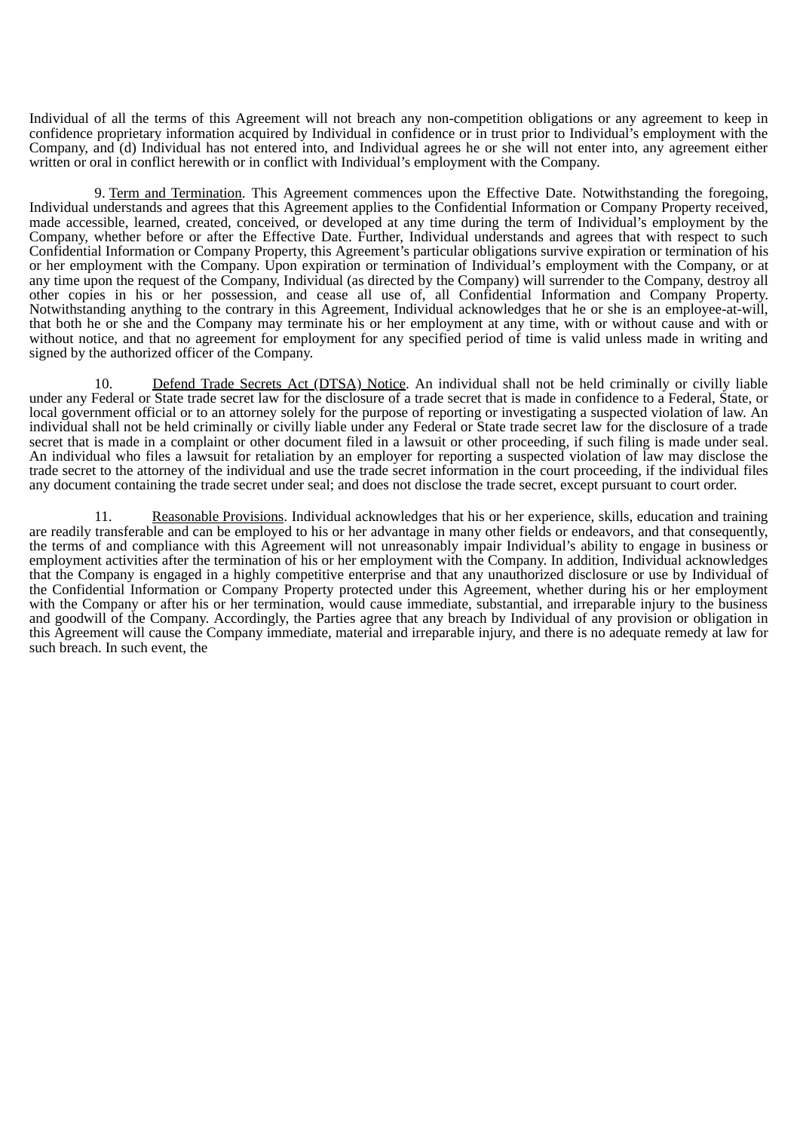Individual of all the terms of this Agreement will not breach any non-competition obligations or any agreement to keep in confidence proprietary information acquired by Individual in confidence or in trust prior to Individual's employment with the Company, and (d) Individual has not entered into, and Individual agrees he or she will not enter into, any agreement either written or oral in conflict herewith or in conflict with Individual's employment with the Company.

9. Term and Termination. This Agreement commences upon the Effective Date. Notwithstanding the foregoing, Individual understands and agrees that this Agreement applies to the Confidential Information or Company Property received, made accessible, learned, created, conceived, or developed at any time during the term of Individual's employment by the Company, whether before or after the Effective Date. Further, Individual understands and agrees that with respect to such Confidential Information or Company Property, this Agreement's particular obligations survive expiration or termination of his or her employment with the Company. Upon expiration or termination of Individual's employment with the Company, or at any time upon the request of the Company, Individual (as directed by the Company) will surrender to the Company, destroy all other copies in his or her possession, and cease all use of, all Confidential Information and Company Property. Notwithstanding anything to the contrary in this Agreement, Individual acknowledges that he or she is an employee-at-will, that both he or she and the Company may terminate his or her employment at any time, with or without cause and with or without notice, and that no agreement for employment for any specified period of time is valid unless made in writing and signed by the authorized officer of the Company.

10. Defend Trade Secrets Act (DTSA) Notice. An individual shall not be held criminally or civilly liable under any Federal or State trade secret law for the disclosure of a trade secret that is made in confidence to a Federal, State, or local government official or to an attorney solely for the purpose of reporting or investigating a suspected violation of law. An individual shall not be held criminally or civilly liable under any Federal or State trade secret law for the disclosure of a trade secret that is made in a complaint or other document filed in a lawsuit or other proceeding, if such filing is made under seal. An individual who files a lawsuit for retaliation by an employer for reporting a suspected violation of law may disclose the trade secret to the attorney of the individual and use the trade secret information in the court proceeding, if the individual files any document containing the trade secret under seal; and does not disclose the trade secret, except pursuant to court order.

11. Reasonable Provisions. Individual acknowledges that his or her experience, skills, education and training are readily transferable and can be employed to his or her advantage in many other fields or endeavors, and that consequently, the terms of and compliance with this Agreement will not unreasonably impair Individual's ability to engage in business or employment activities after the termination of his or her employment with the Company. In addition, Individual acknowledges that the Company is engaged in a highly competitive enterprise and that any unauthorized disclosure or use by Individual of the Confidential Information or Company Property protected under this Agreement, whether during his or her employment with the Company or after his or her termination, would cause immediate, substantial, and irreparable injury to the business and goodwill of the Company. Accordingly, the Parties agree that any breach by Individual of any provision or obligation in this Agreement will cause the Company immediate, material and irreparable injury, and there is no adequate remedy at law for such breach. In such event, the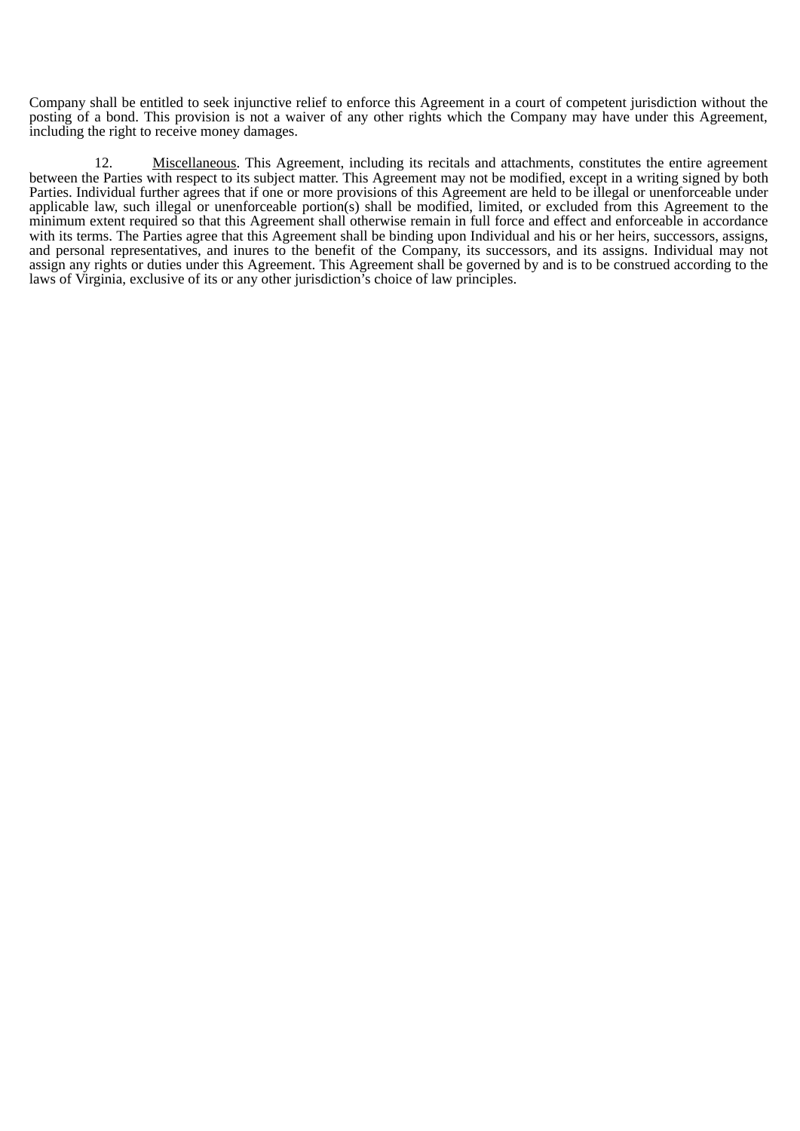Company shall be entitled to seek injunctive relief to enforce this Agreement in a court of competent jurisdiction without the posting of a bond. This provision is not a waiver of any other rights which the Company may have under this Agreement, including the right to receive money damages.

12. Miscellaneous. This Agreement, including its recitals and attachments, constitutes the entire agreement between the Parties with respect to its subject matter. This Agreement may not be modified, except in a writing signed by both Parties. Individual further agrees that if one or more provisions of this Agreement are held to be illegal or unenforceable under applicable law, such illegal or unenforceable portion(s) shall be modified, limited, or excluded from this Agreement to the minimum extent required so that this Agreement shall otherwise remain in full force and effect and enforceable in accordance with its terms. The Parties agree that this Agreement shall be binding upon Individual and his or her heirs, successors, assigns, and personal representatives, and inures to the benefit of the Company, its successors, and its assigns. Individual may not assign any rights or duties under this Agreement. This Agreement shall be governed by and is to be construed according to the laws of Virginia, exclusive of its or any other jurisdiction's choice of law principles.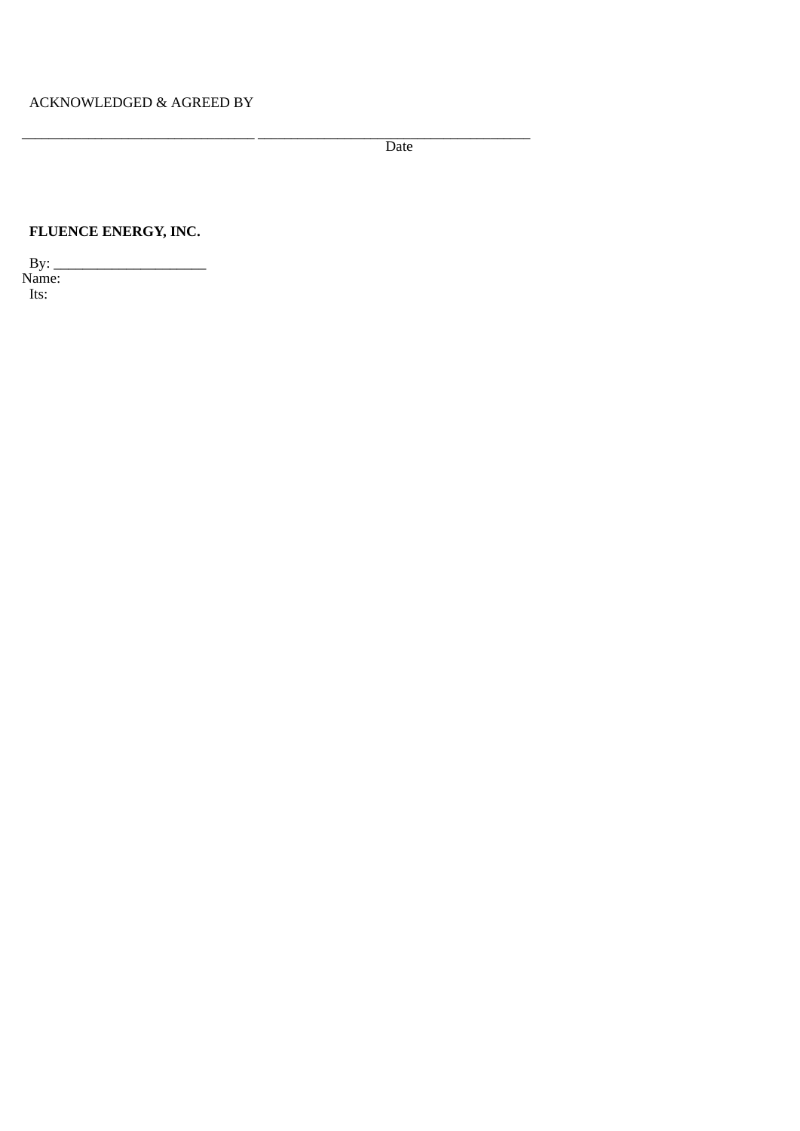\_\_\_\_\_\_\_\_\_\_\_\_\_\_\_\_\_\_\_\_\_\_\_\_\_\_\_\_\_\_\_\_\_\_\_ \_\_\_\_\_\_\_\_\_\_\_\_\_\_\_\_\_\_\_\_\_\_\_\_\_\_\_\_\_\_\_\_\_\_\_\_\_\_\_\_\_ Date

# **FLUENCE ENERGY, INC.**

By: \_\_\_\_\_\_\_\_\_\_\_\_\_\_\_\_\_\_\_\_\_ Name: Its: